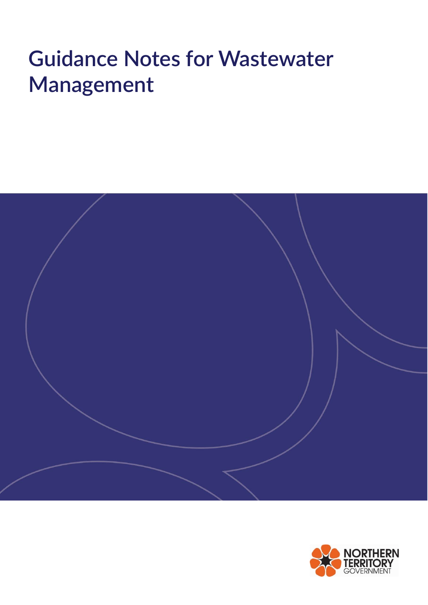# **Guidance Notes for Wastewater Management**



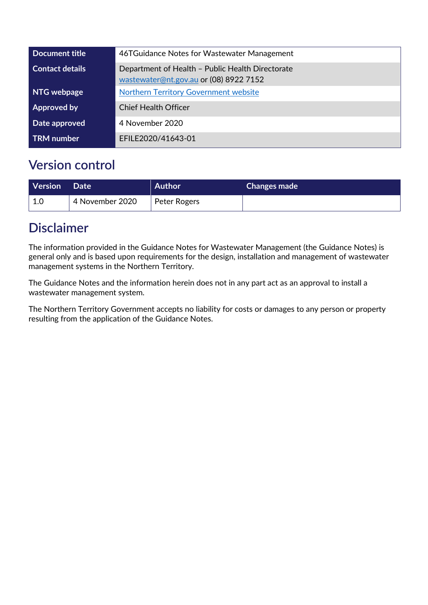| Document title         | 46TGuidance Notes for Wastewater Management                                                |
|------------------------|--------------------------------------------------------------------------------------------|
| <b>Contact details</b> | Department of Health - Public Health Directorate<br>wastewater@nt.gov.au or (08) 8922 7152 |
| NTG webpage            | <b>Northern Territory Government website</b>                                               |
| <b>Approved by</b>     | <b>Chief Health Officer</b>                                                                |
| Date approved          | 4 November 2020                                                                            |
| <b>TRM</b> number      | EFILE2020/41643-01                                                                         |

# <span id="page-1-0"></span>**Version control**

| <b>Version</b> | <b>Date</b>     | <b>Author</b> | <b>Changes made</b> |
|----------------|-----------------|---------------|---------------------|
| 1.0            | 4 November 2020 | Peter Rogers  |                     |

# <span id="page-1-1"></span>**Disclaimer**

The information provided in the Guidance Notes for Wastewater Management (the Guidance Notes) is general only and is based upon requirements for the design, installation and management of wastewater management systems in the Northern Territory.

The Guidance Notes and the information herein does not in any part act as an approval to install a wastewater management system.

The Northern Territory Government accepts no liability for costs or damages to any person or property resulting from the application of the Guidance Notes.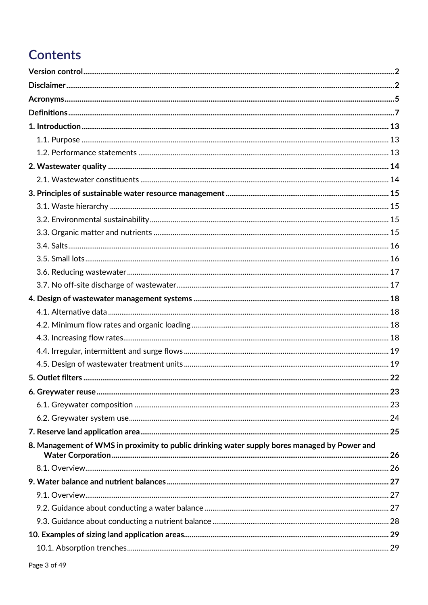# **Contents**

| 8. Management of WMS in proximity to public drinking water supply bores managed by Power and |  |
|----------------------------------------------------------------------------------------------|--|
|                                                                                              |  |
|                                                                                              |  |
|                                                                                              |  |
|                                                                                              |  |
|                                                                                              |  |
|                                                                                              |  |
|                                                                                              |  |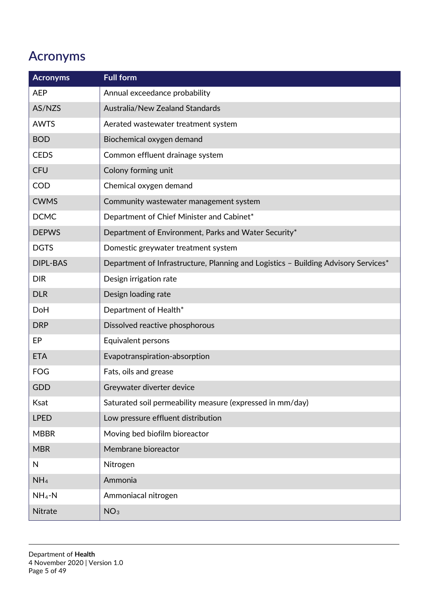# <span id="page-4-0"></span>**Acronyms**

| <b>Acronyms</b> | <b>Full form</b>                                                                   |
|-----------------|------------------------------------------------------------------------------------|
| <b>AEP</b>      | Annual exceedance probability                                                      |
| AS/NZS          | Australia/New Zealand Standards                                                    |
| <b>AWTS</b>     | Aerated wastewater treatment system                                                |
| <b>BOD</b>      | Biochemical oxygen demand                                                          |
| <b>CEDS</b>     | Common effluent drainage system                                                    |
| <b>CFU</b>      | Colony forming unit                                                                |
| <b>COD</b>      | Chemical oxygen demand                                                             |
| <b>CWMS</b>     | Community wastewater management system                                             |
| <b>DCMC</b>     | Department of Chief Minister and Cabinet*                                          |
| <b>DEPWS</b>    | Department of Environment, Parks and Water Security*                               |
| <b>DGTS</b>     | Domestic greywater treatment system                                                |
| <b>DIPL-BAS</b> | Department of Infrastructure, Planning and Logistics - Building Advisory Services* |
| <b>DIR</b>      | Design irrigation rate                                                             |
| <b>DLR</b>      | Design loading rate                                                                |
| DoH             | Department of Health*                                                              |
| <b>DRP</b>      | Dissolved reactive phosphorous                                                     |
| EP              | Equivalent persons                                                                 |
| <b>ETA</b>      | Evapotranspiration-absorption                                                      |
| <b>FOG</b>      | Fats, oils and grease                                                              |
| <b>GDD</b>      | Greywater diverter device                                                          |
| Ksat            | Saturated soil permeability measure (expressed in mm/day)                          |
| <b>LPED</b>     | Low pressure effluent distribution                                                 |
| <b>MBBR</b>     | Moving bed biofilm bioreactor                                                      |
| <b>MBR</b>      | Membrane bioreactor                                                                |
| N               | Nitrogen                                                                           |
| NH <sub>4</sub> | Ammonia                                                                            |
| $NH_4-N$        | Ammoniacal nitrogen                                                                |
| Nitrate         | NO <sub>3</sub>                                                                    |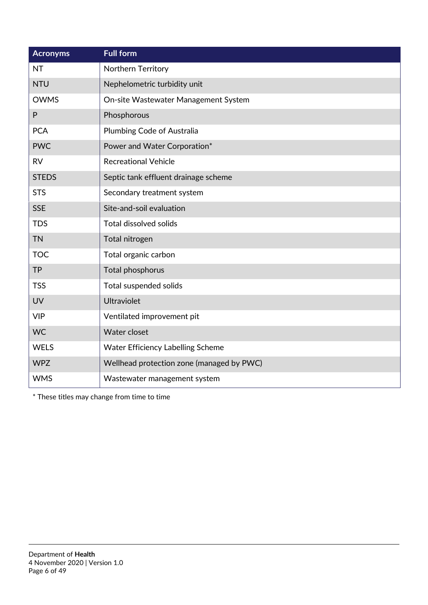| <b>Acronyms</b> | <b>Full form</b>                          |
|-----------------|-------------------------------------------|
| <b>NT</b>       | Northern Territory                        |
| <b>NTU</b>      | Nephelometric turbidity unit              |
| <b>OWMS</b>     | On-site Wastewater Management System      |
| P               | Phosphorous                               |
| <b>PCA</b>      | Plumbing Code of Australia                |
| <b>PWC</b>      | Power and Water Corporation*              |
| <b>RV</b>       | <b>Recreational Vehicle</b>               |
| <b>STEDS</b>    | Septic tank effluent drainage scheme      |
| <b>STS</b>      | Secondary treatment system                |
| <b>SSE</b>      | Site-and-soil evaluation                  |
| <b>TDS</b>      | Total dissolved solids                    |
| <b>TN</b>       | Total nitrogen                            |
| <b>TOC</b>      | Total organic carbon                      |
| <b>TP</b>       | Total phosphorus                          |
| <b>TSS</b>      | Total suspended solids                    |
| <b>UV</b>       | <b>Ultraviolet</b>                        |
| <b>VIP</b>      | Ventilated improvement pit                |
| <b>WC</b>       | <b>Water closet</b>                       |
| <b>WELS</b>     | Water Efficiency Labelling Scheme         |
| <b>WPZ</b>      | Wellhead protection zone (managed by PWC) |
| <b>WMS</b>      | Wastewater management system              |

\* These titles may change from time to time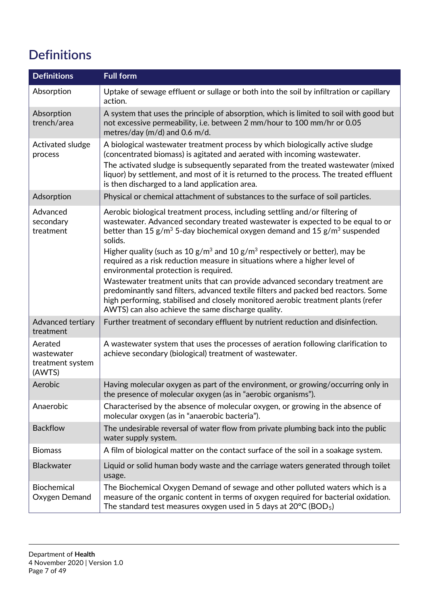# <span id="page-6-0"></span>**Definitions**

| <b>Definitions</b>                                  | <b>Full form</b>                                                                                                                                                                                                                                                                                                                                                                           |
|-----------------------------------------------------|--------------------------------------------------------------------------------------------------------------------------------------------------------------------------------------------------------------------------------------------------------------------------------------------------------------------------------------------------------------------------------------------|
| Absorption                                          | Uptake of sewage effluent or sullage or both into the soil by infiltration or capillary<br>action.                                                                                                                                                                                                                                                                                         |
| Absorption<br>trench/area                           | A system that uses the principle of absorption, which is limited to soil with good but<br>not excessive permeability, i.e. between 2 mm/hour to 100 mm/hr or 0.05<br>metres/day (m/d) and 0.6 m/d.                                                                                                                                                                                         |
| Activated sludge<br>process                         | A biological wastewater treatment process by which biologically active sludge<br>(concentrated biomass) is agitated and aerated with incoming wastewater.<br>The activated sludge is subsequently separated from the treated wastewater (mixed<br>liquor) by settlement, and most of it is returned to the process. The treated effluent<br>is then discharged to a land application area. |
| Adsorption                                          | Physical or chemical attachment of substances to the surface of soil particles.                                                                                                                                                                                                                                                                                                            |
| Advanced<br>secondary<br>treatment                  | Aerobic biological treatment process, including settling and/or filtering of<br>wastewater. Advanced secondary treated wastewater is expected to be equal to or<br>better than 15 $\rm g/m^3$ 5-day biochemical oxygen demand and 15 $\rm g/m^3$ suspended<br>solids.                                                                                                                      |
|                                                     | Higher quality (such as 10 $g/m^3$ and 10 $g/m^3$ respectively or better), may be<br>required as a risk reduction measure in situations where a higher level of<br>environmental protection is required.                                                                                                                                                                                   |
|                                                     | Wastewater treatment units that can provide advanced secondary treatment are<br>predominantly sand filters, advanced textile filters and packed bed reactors. Some<br>high performing, stabilised and closely monitored aerobic treatment plants (refer<br>AWTS) can also achieve the same discharge quality.                                                                              |
| Advanced tertiary<br>treatment                      | Further treatment of secondary effluent by nutrient reduction and disinfection.                                                                                                                                                                                                                                                                                                            |
| Aerated<br>wastewater<br>treatment system<br>(AWTS) | A wastewater system that uses the processes of aeration following clarification to<br>achieve secondary (biological) treatment of wastewater.                                                                                                                                                                                                                                              |
| Aerobic                                             | Having molecular oxygen as part of the environment, or growing/occurring only in<br>the presence of molecular oxygen (as in "aerobic organisms").                                                                                                                                                                                                                                          |
| Anaerobic                                           | Characterised by the absence of molecular oxygen, or growing in the absence of<br>molecular oxygen (as in "anaerobic bacteria").                                                                                                                                                                                                                                                           |
| <b>Backflow</b>                                     | The undesirable reversal of water flow from private plumbing back into the public<br>water supply system.                                                                                                                                                                                                                                                                                  |
| <b>Biomass</b>                                      | A film of biological matter on the contact surface of the soil in a soakage system.                                                                                                                                                                                                                                                                                                        |
| <b>Blackwater</b>                                   | Liquid or solid human body waste and the carriage waters generated through toilet<br>usage.                                                                                                                                                                                                                                                                                                |
| <b>Biochemical</b><br>Oxygen Demand                 | The Biochemical Oxygen Demand of sewage and other polluted waters which is a<br>measure of the organic content in terms of oxygen required for bacterial oxidation.<br>The standard test measures oxygen used in 5 days at $20^{\circ}$ C (BOD <sub>5</sub> )                                                                                                                              |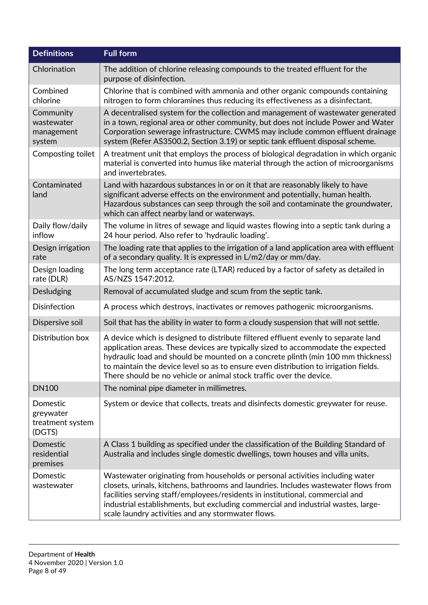| <b>Definitions</b>                                  | <b>Full form</b>                                                                                                                                                                                                                                                                                                                                                                                                          |
|-----------------------------------------------------|---------------------------------------------------------------------------------------------------------------------------------------------------------------------------------------------------------------------------------------------------------------------------------------------------------------------------------------------------------------------------------------------------------------------------|
| Chlorination                                        | The addition of chlorine releasing compounds to the treated effluent for the<br>purpose of disinfection.                                                                                                                                                                                                                                                                                                                  |
| Combined<br>chlorine                                | Chlorine that is combined with ammonia and other organic compounds containing<br>nitrogen to form chloramines thus reducing its effectiveness as a disinfectant.                                                                                                                                                                                                                                                          |
| Community<br>wastewater<br>management<br>system     | A decentralised system for the collection and management of wastewater generated<br>in a town, regional area or other community, but does not include Power and Water<br>Corporation sewerage infrastructure. CWMS may include common effluent drainage<br>system (Refer AS3500.2, Section 3.19) or septic tank effluent disposal scheme.                                                                                 |
| Composting toilet                                   | A treatment unit that employs the process of biological degradation in which organic<br>material is converted into humus like material through the action of microorganisms<br>and invertebrates.                                                                                                                                                                                                                         |
| Contaminated<br>land                                | Land with hazardous substances in or on it that are reasonably likely to have<br>significant adverse effects on the environment and potentially, human health.<br>Hazardous substances can seep through the soil and contaminate the groundwater,<br>which can affect nearby land or waterways.                                                                                                                           |
| Daily flow/daily<br>inflow                          | The volume in litres of sewage and liquid wastes flowing into a septic tank during a<br>24 hour period. Also refer to 'hydraulic loading'.                                                                                                                                                                                                                                                                                |
| Design irrigation<br>rate                           | The loading rate that applies to the irrigation of a land application area with effluent<br>of a secondary quality. It is expressed in L/m2/day or mm/day.                                                                                                                                                                                                                                                                |
| Design loading<br>rate (DLR)                        | The long term acceptance rate (LTAR) reduced by a factor of safety as detailed in<br>AS/NZS 1547:2012.                                                                                                                                                                                                                                                                                                                    |
| Desludging                                          | Removal of accumulated sludge and scum from the septic tank.                                                                                                                                                                                                                                                                                                                                                              |
| <b>Disinfection</b>                                 | A process which destroys, inactivates or removes pathogenic microorganisms.                                                                                                                                                                                                                                                                                                                                               |
| Dispersive soil                                     | Soil that has the ability in water to form a cloudy suspension that will not settle.                                                                                                                                                                                                                                                                                                                                      |
| Distribution box                                    | A device which is designed to distribute filtered effluent evenly to separate land<br>application areas. These devices are typically sized to accommodate the expected<br>hydraulic load and should be mounted on a concrete plinth (min 100 mm thickness)<br>to maintain the device level so as to ensure even distribution to irrigation fields.<br>There should be no vehicle or animal stock traffic over the device. |
| <b>DN100</b>                                        | The nominal pipe diameter in millimetres.                                                                                                                                                                                                                                                                                                                                                                                 |
| Domestic<br>greywater<br>treatment system<br>(DGTS) | System or device that collects, treats and disinfects domestic greywater for reuse.                                                                                                                                                                                                                                                                                                                                       |
| Domestic<br>residential<br>premises                 | A Class 1 building as specified under the classification of the Building Standard of<br>Australia and includes single domestic dwellings, town houses and villa units.                                                                                                                                                                                                                                                    |
| Domestic<br>wastewater                              | Wastewater originating from households or personal activities including water<br>closets, urinals, kitchens, bathrooms and laundries. Includes wastewater flows from<br>facilities serving staff/employees/residents in institutional, commercial and<br>industrial establishments, but excluding commercial and industrial wastes, large-<br>scale laundry activities and any stormwater flows.                          |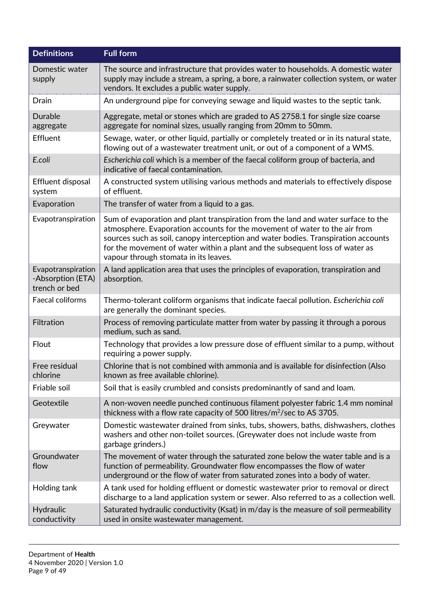| <b>Definitions</b>                                       | <b>Full form</b>                                                                                                                                                                                                                                                                                                                                                               |
|----------------------------------------------------------|--------------------------------------------------------------------------------------------------------------------------------------------------------------------------------------------------------------------------------------------------------------------------------------------------------------------------------------------------------------------------------|
| Domestic water<br>supply                                 | The source and infrastructure that provides water to households. A domestic water<br>supply may include a stream, a spring, a bore, a rainwater collection system, or water<br>vendors. It excludes a public water supply.                                                                                                                                                     |
| Drain                                                    | An underground pipe for conveying sewage and liquid wastes to the septic tank.                                                                                                                                                                                                                                                                                                 |
| <b>Durable</b><br>aggregate                              | Aggregate, metal or stones which are graded to AS 2758.1 for single size coarse<br>aggregate for nominal sizes, usually ranging from 20mm to 50mm.                                                                                                                                                                                                                             |
| Effluent                                                 | Sewage, water, or other liquid, partially or completely treated or in its natural state,<br>flowing out of a wastewater treatment unit, or out of a component of a WMS.                                                                                                                                                                                                        |
| E.coli                                                   | Escherichia coli which is a member of the faecal coliform group of bacteria, and<br>indicative of faecal contamination.                                                                                                                                                                                                                                                        |
| <b>Effluent disposal</b><br>system                       | A constructed system utilising various methods and materials to effectively dispose<br>of effluent.                                                                                                                                                                                                                                                                            |
| Evaporation                                              | The transfer of water from a liquid to a gas.                                                                                                                                                                                                                                                                                                                                  |
| Evapotranspiration                                       | Sum of evaporation and plant transpiration from the land and water surface to the<br>atmosphere. Evaporation accounts for the movement of water to the air from<br>sources such as soil, canopy interception and water bodies. Transpiration accounts<br>for the movement of water within a plant and the subsequent loss of water as<br>vapour through stomata in its leaves. |
| Evapotranspiration<br>-Absorption (ETA)<br>trench or bed | A land application area that uses the principles of evaporation, transpiration and<br>absorption.                                                                                                                                                                                                                                                                              |
| Faecal coliforms                                         | Thermo-tolerant coliform organisms that indicate faecal pollution. Escherichia coli<br>are generally the dominant species.                                                                                                                                                                                                                                                     |
| Filtration                                               | Process of removing particulate matter from water by passing it through a porous<br>medium, such as sand.                                                                                                                                                                                                                                                                      |
| Flout                                                    | Technology that provides a low pressure dose of effluent similar to a pump, without<br>requiring a power supply.                                                                                                                                                                                                                                                               |
| Free residual<br>chlorine                                | Chlorine that is not combined with ammonia and is available for disinfection (Also<br>known as free available chlorine).                                                                                                                                                                                                                                                       |
| Friable soil                                             | Soil that is easily crumbled and consists predominantly of sand and loam.                                                                                                                                                                                                                                                                                                      |
| Geotextile                                               | A non-woven needle punched continuous filament polyester fabric 1.4 mm nominal<br>thickness with a flow rate capacity of 500 litres/ $m^2$ /sec to AS 3705.                                                                                                                                                                                                                    |
| Greywater                                                | Domestic wastewater drained from sinks, tubs, showers, baths, dishwashers, clothes<br>washers and other non-toilet sources. (Greywater does not include waste from<br>garbage grinders.)                                                                                                                                                                                       |
| Groundwater<br>flow                                      | The movement of water through the saturated zone below the water table and is a<br>function of permeability. Groundwater flow encompasses the flow of water<br>underground or the flow of water from saturated zones into a body of water.                                                                                                                                     |
| Holding tank                                             | A tank used for holding effluent or domestic wastewater prior to removal or direct<br>discharge to a land application system or sewer. Also referred to as a collection well.                                                                                                                                                                                                  |
| <b>Hydraulic</b><br>conductivity                         | Saturated hydraulic conductivity (Ksat) in m/day is the measure of soil permeability<br>used in onsite wastewater management.                                                                                                                                                                                                                                                  |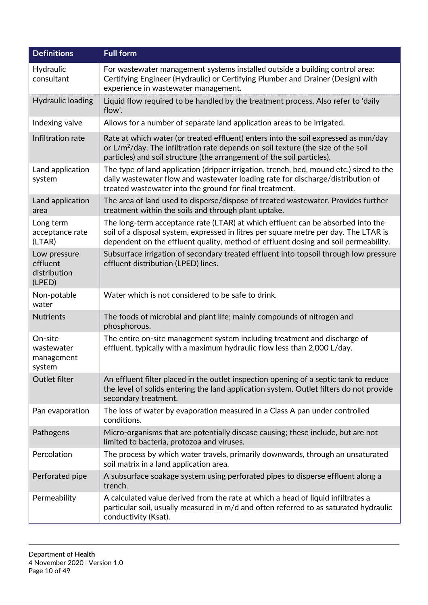| <b>Definitions</b>                                 | <b>Full form</b>                                                                                                                                                                                                                                               |
|----------------------------------------------------|----------------------------------------------------------------------------------------------------------------------------------------------------------------------------------------------------------------------------------------------------------------|
| Hydraulic<br>consultant                            | For wastewater management systems installed outside a building control area:<br>Certifying Engineer (Hydraulic) or Certifying Plumber and Drainer (Design) with<br>experience in wastewater management.                                                        |
| <b>Hydraulic loading</b>                           | Liquid flow required to be handled by the treatment process. Also refer to 'daily<br>flow'.                                                                                                                                                                    |
| Indexing valve                                     | Allows for a number of separate land application areas to be irrigated.                                                                                                                                                                                        |
| Infiltration rate                                  | Rate at which water (or treated effluent) enters into the soil expressed as mm/day<br>or L/m <sup>2</sup> /day. The infiltration rate depends on soil texture (the size of the soil<br>particles) and soil structure (the arrangement of the soil particles).  |
| Land application<br>system                         | The type of land application (dripper irrigation, trench, bed, mound etc.) sized to the<br>daily wastewater flow and wastewater loading rate for discharge/distribution of<br>treated wastewater into the ground for final treatment.                          |
| Land application<br>area                           | The area of land used to disperse/dispose of treated wastewater. Provides further<br>treatment within the soils and through plant uptake.                                                                                                                      |
| Long term<br>acceptance rate<br>(LTAR)             | The long-term acceptance rate (LTAR) at which effluent can be absorbed into the<br>soil of a disposal system, expressed in litres per square metre per day. The LTAR is<br>dependent on the effluent quality, method of effluent dosing and soil permeability. |
| Low pressure<br>effluent<br>distribution<br>(LPED) | Subsurface irrigation of secondary treated effluent into topsoil through low pressure<br>effluent distribution (LPED) lines.                                                                                                                                   |
| Non-potable<br>water                               | Water which is not considered to be safe to drink.                                                                                                                                                                                                             |
| <b>Nutrients</b>                                   | The foods of microbial and plant life; mainly compounds of nitrogen and<br>phosphorous.                                                                                                                                                                        |
| On-site<br>wastewater<br>management<br>system      | The entire on-site management system including treatment and discharge of<br>effluent, typically with a maximum hydraulic flow less than 2,000 L/day.                                                                                                          |
| Outlet filter                                      | An effluent filter placed in the outlet inspection opening of a septic tank to reduce<br>the level of solids entering the land application system. Outlet filters do not provide<br>secondary treatment.                                                       |
| Pan evaporation                                    | The loss of water by evaporation measured in a Class A pan under controlled<br>conditions.                                                                                                                                                                     |
| Pathogens                                          | Micro-organisms that are potentially disease causing; these include, but are not<br>limited to bacteria, protozoa and viruses.                                                                                                                                 |
| Percolation                                        | The process by which water travels, primarily downwards, through an unsaturated<br>soil matrix in a land application area.                                                                                                                                     |
| Perforated pipe                                    | A subsurface soakage system using perforated pipes to disperse effluent along a<br>trench.                                                                                                                                                                     |
| Permeability                                       | A calculated value derived from the rate at which a head of liquid infiltrates a<br>particular soil, usually measured in m/d and often referred to as saturated hydraulic<br>conductivity (Ksat).                                                              |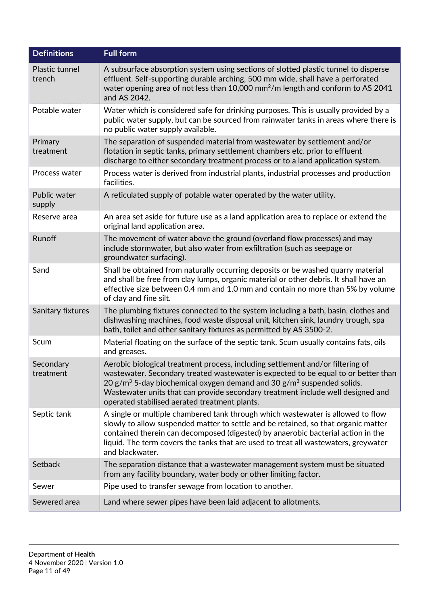| <b>Definitions</b>              | <b>Full form</b>                                                                                                                                                                                                                                                                                                                                                                                |
|---------------------------------|-------------------------------------------------------------------------------------------------------------------------------------------------------------------------------------------------------------------------------------------------------------------------------------------------------------------------------------------------------------------------------------------------|
| <b>Plastic tunnel</b><br>trench | A subsurface absorption system using sections of slotted plastic tunnel to disperse<br>effluent. Self-supporting durable arching, 500 mm wide, shall have a perforated<br>water opening area of not less than 10,000 mm <sup>2</sup> /m length and conform to AS 2041<br>and AS 2042.                                                                                                           |
| Potable water                   | Water which is considered safe for drinking purposes. This is usually provided by a<br>public water supply, but can be sourced from rainwater tanks in areas where there is<br>no public water supply available.                                                                                                                                                                                |
| Primary<br>treatment            | The separation of suspended material from wastewater by settlement and/or<br>flotation in septic tanks, primary settlement chambers etc. prior to effluent<br>discharge to either secondary treatment process or to a land application system.                                                                                                                                                  |
| Process water                   | Process water is derived from industrial plants, industrial processes and production<br>facilities.                                                                                                                                                                                                                                                                                             |
| <b>Public water</b><br>supply   | A reticulated supply of potable water operated by the water utility.                                                                                                                                                                                                                                                                                                                            |
| Reserve area                    | An area set aside for future use as a land application area to replace or extend the<br>original land application area.                                                                                                                                                                                                                                                                         |
| Runoff                          | The movement of water above the ground (overland flow processes) and may<br>include stormwater, but also water from exfiltration (such as seepage or<br>groundwater surfacing).                                                                                                                                                                                                                 |
| Sand                            | Shall be obtained from naturally occurring deposits or be washed quarry material<br>and shall be free from clay lumps, organic material or other debris. It shall have an<br>effective size between 0.4 mm and 1.0 mm and contain no more than 5% by volume<br>of clay and fine silt.                                                                                                           |
| Sanitary fixtures               | The plumbing fixtures connected to the system including a bath, basin, clothes and<br>dishwashing machines, food waste disposal unit, kitchen sink, laundry trough, spa<br>bath, toilet and other sanitary fixtures as permitted by AS 3500-2.                                                                                                                                                  |
| Scum                            | Material floating on the surface of the septic tank. Scum usually contains fats, oils<br>and greases.                                                                                                                                                                                                                                                                                           |
| Secondary<br>treatment          | Aerobic biological treatment process, including settlement and/or filtering of<br>wastewater. Secondary treated wastewater is expected to be equal to or better than<br>20 $\rm g/m^3$ 5-day biochemical oxygen demand and 30 $\rm g/m^3$ suspended solids.<br>Wastewater units that can provide secondary treatment include well designed and<br>operated stabilised aerated treatment plants. |
| Septic tank                     | A single or multiple chambered tank through which wastewater is allowed to flow<br>slowly to allow suspended matter to settle and be retained, so that organic matter<br>contained therein can decomposed (digested) by anaerobic bacterial action in the<br>liquid. The term covers the tanks that are used to treat all wastewaters, greywater<br>and blackwater.                             |
| Setback                         | The separation distance that a wastewater management system must be situated<br>from any facility boundary, water body or other limiting factor.                                                                                                                                                                                                                                                |
| Sewer                           | Pipe used to transfer sewage from location to another.                                                                                                                                                                                                                                                                                                                                          |
| Sewered area                    | Land where sewer pipes have been laid adjacent to allotments.                                                                                                                                                                                                                                                                                                                                   |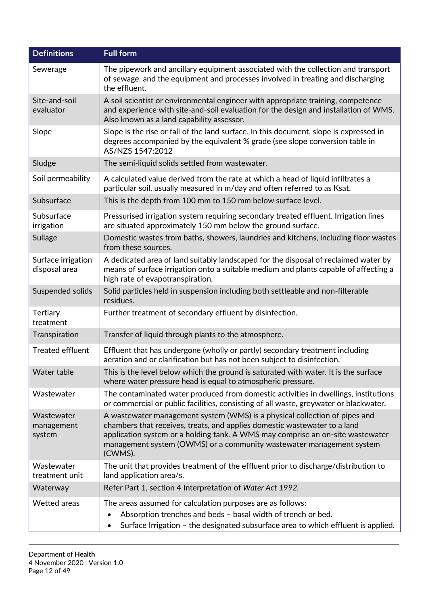| <b>Definitions</b>                  | <b>Full form</b>                                                                                                                                                                                                                                                                                                             |
|-------------------------------------|------------------------------------------------------------------------------------------------------------------------------------------------------------------------------------------------------------------------------------------------------------------------------------------------------------------------------|
| Sewerage                            | The pipework and ancillary equipment associated with the collection and transport<br>of sewage, and the equipment and processes involved in treating and discharging<br>the effluent.                                                                                                                                        |
| Site-and-soil<br>evaluator          | A soil scientist or environmental engineer with appropriate training, competence<br>and experience with site-and-soil evaluation for the design and installation of WMS.<br>Also known as a land capability assessor.                                                                                                        |
| Slope                               | Slope is the rise or fall of the land surface. In this document, slope is expressed in<br>degrees accompanied by the equivalent % grade (see slope conversion table in<br>AS/NZS 1547:2012                                                                                                                                   |
| Sludge                              | The semi-liquid solids settled from wastewater.                                                                                                                                                                                                                                                                              |
| Soil permeability                   | A calculated value derived from the rate at which a head of liquid infiltrates a<br>particular soil, usually measured in m/day and often referred to as Ksat.                                                                                                                                                                |
| Subsurface                          | This is the depth from 100 mm to 150 mm below surface level.                                                                                                                                                                                                                                                                 |
| Subsurface<br>irrigation            | Pressurised irrigation system requiring secondary treated effluent. Irrigation lines<br>are situated approximately 150 mm below the ground surface.                                                                                                                                                                          |
| <b>Sullage</b>                      | Domestic wastes from baths, showers, laundries and kitchens, including floor wastes<br>from these sources.                                                                                                                                                                                                                   |
| Surface irrigation<br>disposal area | A dedicated area of land suitably landscaped for the disposal of reclaimed water by<br>means of surface irrigation onto a suitable medium and plants capable of affecting a<br>high rate of evapotranspiration.                                                                                                              |
| Suspended solids                    | Solid particles held in suspension including both settleable and non-filterable<br>residues.                                                                                                                                                                                                                                 |
| Tertiary<br>treatment               | Further treatment of secondary effluent by disinfection.                                                                                                                                                                                                                                                                     |
| Transpiration                       | Transfer of liquid through plants to the atmosphere.                                                                                                                                                                                                                                                                         |
| <b>Treated effluent</b>             | Effluent that has undergone (wholly or partly) secondary treatment including<br>aeration and or clarification but has not been subject to disinfection.                                                                                                                                                                      |
| Water table                         | This is the level below which the ground is saturated with water. It is the surface<br>where water pressure head is equal to atmospheric pressure.                                                                                                                                                                           |
| Wastewater                          | The contaminated water produced from domestic activities in dwellings, institutions<br>or commercial or public facilities, consisting of all waste, greywater or blackwater.                                                                                                                                                 |
| Wastewater<br>management<br>system  | A wastewater management system (WMS) is a physical collection of pipes and<br>chambers that receives, treats, and applies domestic wastewater to a land<br>application system or a holding tank. A WMS may comprise an on-site wastewater<br>management system (OWMS) or a community wastewater management system<br>(CWMS). |
| Wastewater<br>treatment unit        | The unit that provides treatment of the effluent prior to discharge/distribution to<br>land application area/s.                                                                                                                                                                                                              |
| Waterway                            | Refer Part 1, section 4 Interpretation of Water Act 1992.                                                                                                                                                                                                                                                                    |
| <b>Wetted areas</b>                 | The areas assumed for calculation purposes are as follows:                                                                                                                                                                                                                                                                   |
|                                     | Absorption trenches and beds - basal width of trench or bed.                                                                                                                                                                                                                                                                 |
|                                     | Surface Irrigation - the designated subsurface area to which effluent is applied.                                                                                                                                                                                                                                            |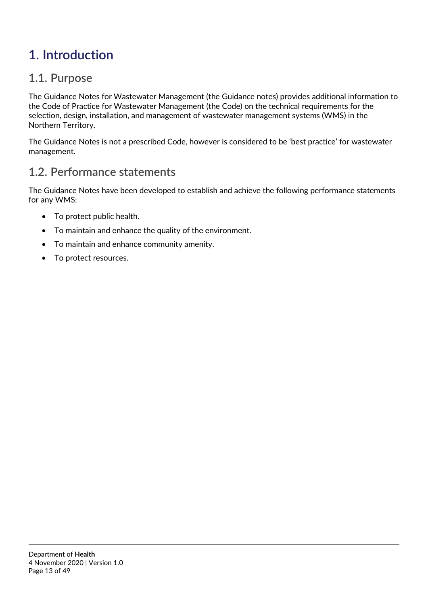# <span id="page-12-0"></span>**1. Introduction**

#### <span id="page-12-1"></span>**1.1. Purpose**

The Guidance Notes for Wastewater Management (the Guidance notes) provides additional information to the Code of Practice for Wastewater Management (the Code) on the technical requirements for the selection, design, installation, and management of wastewater management systems (WMS) in the Northern Territory.

The Guidance Notes is not a prescribed Code, however is considered to be 'best practice' for wastewater management.

### <span id="page-12-2"></span>**1.2. Performance statements**

The Guidance Notes have been developed to establish and achieve the following performance statements for any WMS:

- To protect public health.
- To maintain and enhance the quality of the environment.
- To maintain and enhance community amenity.
- To protect resources.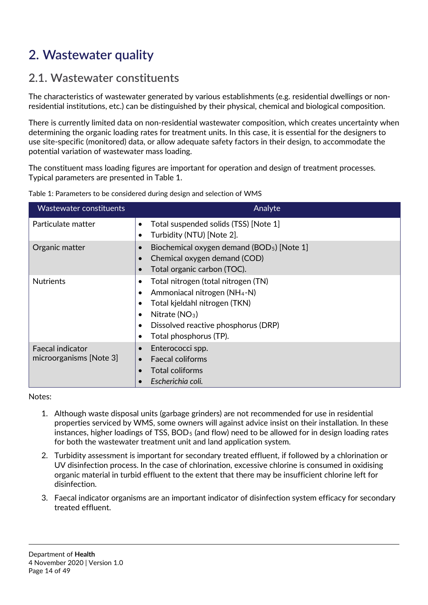# <span id="page-13-0"></span>**2. Wastewater quality**

### <span id="page-13-1"></span>**2.1. Wastewater constituents**

The characteristics of wastewater generated by various establishments (e.g. residential dwellings or nonresidential institutions, etc.) can be distinguished by their physical, chemical and biological composition.

There is currently limited data on non-residential wastewater composition, which creates uncertainty when determining the organic loading rates for treatment units. In this case, it is essential for the designers to use site-specific (monitored) data, or allow adequate safety factors in their design, to accommodate the potential variation of wastewater mass loading.

The constituent mass loading figures are important for operation and design of treatment processes. Typical parameters are presented in [Table 1.](#page-13-2)

| <b>Wastewater constituents</b>                     | Analyte                                                                                                                                                                                                                        |
|----------------------------------------------------|--------------------------------------------------------------------------------------------------------------------------------------------------------------------------------------------------------------------------------|
| Particulate matter                                 | Total suspended solids (TSS) [Note 1]<br>$\bullet$<br>Turbidity (NTU) [Note 2].<br>$\bullet$                                                                                                                                   |
| Organic matter                                     | Biochemical oxygen demand (BOD <sub>5</sub> ) [Note 1]<br>$\bullet$<br>Chemical oxygen demand (COD)<br>Total organic carbon (TOC).                                                                                             |
| <b>Nutrients</b>                                   | Total nitrogen (total nitrogen (TN)<br>$\bullet$<br>Ammoniacal nitrogen (NH <sub>4</sub> -N)<br>Total kjeldahl nitrogen (TKN)<br>Nitrate $(NO3)$<br>$\bullet$<br>Dissolved reactive phosphorus (DRP)<br>Total phosphorus (TP). |
| <b>Faecal indicator</b><br>microorganisms [Note 3] | Enterococci spp.<br>$\bullet$<br><b>Faecal coliforms</b><br>$\bullet$<br>Total coliforms<br>Escherichia coli.                                                                                                                  |

<span id="page-13-2"></span>Table 1: Parameters to be considered during design and selection of WMS

Notes:

- 1. Although waste disposal units (garbage grinders) are not recommended for use in residential properties serviced by WMS, some owners will against advice insist on their installation. In these instances, higher loadings of TSS,  $BOD<sub>5</sub>$  (and flow) need to be allowed for in design loading rates for both the wastewater treatment unit and land application system.
- 2. Turbidity assessment is important for secondary treated effluent, if followed by a chlorination or UV disinfection process. In the case of chlorination, excessive chlorine is consumed in oxidising organic material in turbid effluent to the extent that there may be insufficient chlorine left for disinfection.
- 3. Faecal indicator organisms are an important indicator of disinfection system efficacy for secondary treated effluent.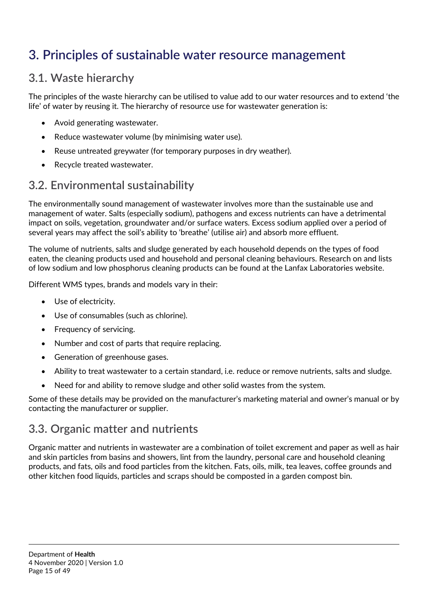# <span id="page-14-0"></span>**3. Principles of sustainable water resource management**

### <span id="page-14-1"></span>**3.1. Waste hierarchy**

The principles of the waste hierarchy can be utilised to value add to our water resources and to extend 'the life' of water by reusing it. The hierarchy of resource use for wastewater generation is:

- Avoid generating wastewater.
- Reduce wastewater volume (by minimising water use).
- Reuse untreated greywater (for temporary purposes in dry weather).
- Recycle treated wastewater.

### <span id="page-14-2"></span>**3.2. Environmental sustainability**

The environmentally sound management of wastewater involves more than the sustainable use and management of water. Salts (especially sodium), pathogens and excess nutrients can have a detrimental impact on soils, vegetation, groundwater and/or surface waters. Excess sodium applied over a period of several years may affect the soil's ability to 'breathe' (utilise air) and absorb more effluent.

The volume of nutrients, salts and sludge generated by each household depends on the types of food eaten, the cleaning products used and household and personal cleaning behaviours. Research on and lists of low sodium and low phosphorus cleaning products can be found at the Lanfax Laboratories website.

Different WMS types, brands and models vary in their:

- Use of electricity.
- Use of consumables (such as chlorine).
- Frequency of servicing.
- Number and cost of parts that require replacing.
- Generation of greenhouse gases.
- Ability to treat wastewater to a certain standard, i.e. reduce or remove nutrients, salts and sludge.
- Need for and ability to remove sludge and other solid wastes from the system.

Some of these details may be provided on the manufacturer's marketing material and owner's manual or by contacting the manufacturer or supplier.

#### <span id="page-14-3"></span>**3.3. Organic matter and nutrients**

Organic matter and nutrients in wastewater are a combination of toilet excrement and paper as well as hair and skin particles from basins and showers, lint from the laundry, personal care and household cleaning products, and fats, oils and food particles from the kitchen. Fats, oils, milk, tea leaves, coffee grounds and other kitchen food liquids, particles and scraps should be composted in a garden compost bin.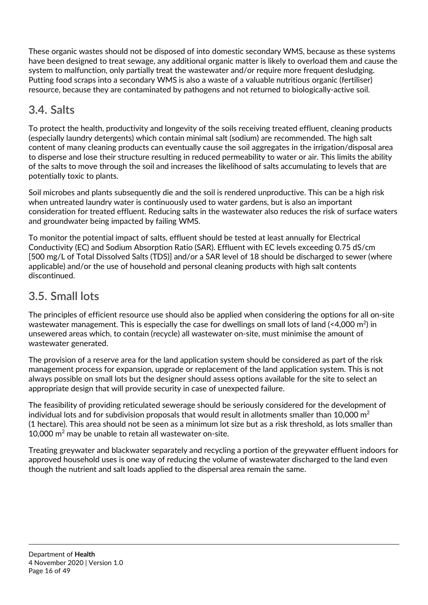These organic wastes should not be disposed of into domestic secondary WMS, because as these systems have been designed to treat sewage, any additional organic matter is likely to overload them and cause the system to malfunction, only partially treat the wastewater and/or require more frequent desludging. Putting food scraps into a secondary WMS is also a waste of a valuable nutritious organic (fertiliser) resource, because they are contaminated by pathogens and not returned to biologically-active soil.

### <span id="page-15-0"></span>**3.4. Salts**

To protect the health, productivity and longevity of the soils receiving treated effluent, cleaning products (especially laundry detergents) which contain minimal salt (sodium) are recommended. The high salt content of many cleaning products can eventually cause the soil aggregates in the irrigation/disposal area to disperse and lose their structure resulting in reduced permeability to water or air. This limits the ability of the salts to move through the soil and increases the likelihood of salts accumulating to levels that are potentially toxic to plants.

Soil microbes and plants subsequently die and the soil is rendered unproductive. This can be a high risk when untreated laundry water is continuously used to water gardens, but is also an important consideration for treated effluent. Reducing salts in the wastewater also reduces the risk of surface waters and groundwater being impacted by failing WMS.

To monitor the potential impact of salts, effluent should be tested at least annually for Electrical Conductivity (EC) and Sodium Absorption Ratio (SAR). Effluent with EC levels exceeding 0.75 dS/cm [500 mg/L of Total Dissolved Salts (TDS)] and/or a SAR level of 18 should be discharged to sewer (where applicable) and/or the use of household and personal cleaning products with high salt contents discontinued.

### <span id="page-15-1"></span>**3.5. Small lots**

The principles of efficient resource use should also be applied when considering the options for all on-site wastewater management. This is especially the case for dwellings on small lots of land  $\left($  <4,000 m<sup>2</sup>) in unsewered areas which, to contain (recycle) all wastewater on-site, must minimise the amount of wastewater generated.

The provision of a reserve area for the land application system should be considered as part of the risk management process for expansion, upgrade or replacement of the land application system. This is not always possible on small lots but the designer should assess options available for the site to select an appropriate design that will provide security in case of unexpected failure.

The feasibility of providing reticulated sewerage should be seriously considered for the development of individual lots and for subdivision proposals that would result in allotments smaller than 10,000  $m^2$ (1 hectare). This area should not be seen as a minimum lot size but as a risk threshold, as lots smaller than 10,000  $m<sup>2</sup>$  may be unable to retain all wastewater on-site.

<span id="page-15-2"></span>Treating greywater and blackwater separately and recycling a portion of the greywater effluent indoors for approved household uses is one way of reducing the volume of wastewater discharged to the land even though the nutrient and salt loads applied to the dispersal area remain the same.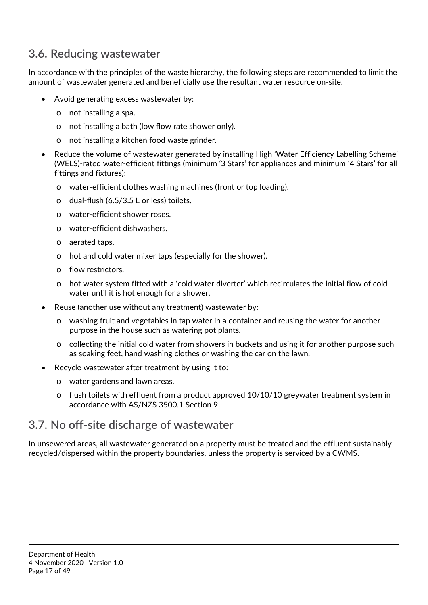### **3.6. Reducing wastewater**

In accordance with the principles of the waste hierarchy, the following steps are recommended to limit the amount of wastewater generated and beneficially use the resultant water resource on-site.

- Avoid generating excess wastewater by:
	- o not installing a spa.
	- o not installing a bath (low flow rate shower only).
	- o not installing a kitchen food waste grinder.
- Reduce the volume of wastewater generated by installing High 'Water Efficiency Labelling Scheme' (WELS)-rated water-efficient fittings (minimum '3 Stars' for appliances and minimum '4 Stars' for all fittings and fixtures):
	- o water-efficient clothes washing machines (front or top loading).
	- o dual-flush (6.5/3.5 L or less) toilets.
	- o water-efficient shower roses.
	- o water-efficient dishwashers.
	- o aerated taps.
	- o hot and cold water mixer taps (especially for the shower).
	- o flow restrictors.
	- o hot water system fitted with a 'cold water diverter' which recirculates the initial flow of cold water until it is hot enough for a shower.
- Reuse (another use without any treatment) wastewater by:
	- o washing fruit and vegetables in tap water in a container and reusing the water for another purpose in the house such as watering pot plants.
	- o collecting the initial cold water from showers in buckets and using it for another purpose such as soaking feet, hand washing clothes or washing the car on the lawn.
- Recycle wastewater after treatment by using it to:
	- o water gardens and lawn areas.
	- o flush toilets with effluent from a product approved 10/10/10 greywater treatment system in accordance with AS/NZS 3500.1 Section 9.

### <span id="page-16-0"></span>**3.7. No off-site discharge of wastewater**

<span id="page-16-1"></span>In unsewered areas, all wastewater generated on a property must be treated and the effluent sustainably recycled/dispersed within the property boundaries, unless the property is serviced by a CWMS.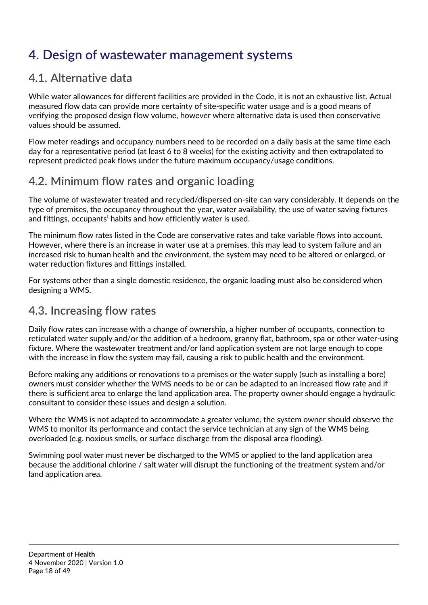# **4. Design of wastewater management systems**

### <span id="page-17-0"></span>**4.1. Alternative data**

While water allowances for different facilities are provided in the Code, it is not an exhaustive list. Actual measured flow data can provide more certainty of site-specific water usage and is a good means of verifying the proposed design flow volume, however where alternative data is used then conservative values should be assumed.

Flow meter readings and occupancy numbers need to be recorded on a daily basis at the same time each day for a representative period (at least 6 to 8 weeks) for the existing activity and then extrapolated to represent predicted peak flows under the future maximum occupancy/usage conditions.

### <span id="page-17-1"></span>**4.2. Minimum flow rates and organic loading**

The volume of wastewater treated and recycled/dispersed on-site can vary considerably. It depends on the type of premises, the occupancy throughout the year, water availability, the use of water saving fixtures and fittings, occupants' habits and how efficiently water is used.

The minimum flow rates listed in the Code are conservative rates and take variable flows into account. However, where there is an increase in water use at a premises, this may lead to system failure and an increased risk to human health and the environment, the system may need to be altered or enlarged, or water reduction fixtures and fittings installed.

For systems other than a single domestic residence, the organic loading must also be considered when designing a WMS.

### <span id="page-17-2"></span>**4.3. Increasing flow rates**

Daily flow rates can increase with a change of ownership, a higher number of occupants, connection to reticulated water supply and/or the addition of a bedroom, granny flat, bathroom, spa or other water-using fixture. Where the wastewater treatment and/or land application system are not large enough to cope with the increase in flow the system may fail, causing a risk to public health and the environment.

Before making any additions or renovations to a premises or the water supply (such as installing a bore) owners must consider whether the WMS needs to be or can be adapted to an increased flow rate and if there is sufficient area to enlarge the land application area. The property owner should engage a hydraulic consultant to consider these issues and design a solution.

Where the WMS is not adapted to accommodate a greater volume, the system owner should observe the WMS to monitor its performance and contact the service technician at any sign of the WMS being overloaded (e.g. noxious smells, or surface discharge from the disposal area flooding).

<span id="page-17-3"></span>Swimming pool water must never be discharged to the WMS or applied to the land application area because the additional chlorine / salt water will disrupt the functioning of the treatment system and/or land application area.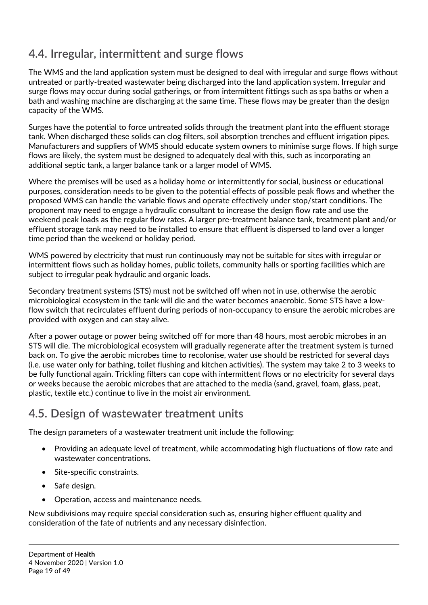## **4.4. Irregular, intermittent and surge flows**

The WMS and the land application system must be designed to deal with irregular and surge flows without untreated or partly-treated wastewater being discharged into the land application system. Irregular and surge flows may occur during social gatherings, or from intermittent fittings such as spa baths or when a bath and washing machine are discharging at the same time. These flows may be greater than the design capacity of the WMS.

Surges have the potential to force untreated solids through the treatment plant into the effluent storage tank. When discharged these solids can clog filters, soil absorption trenches and effluent irrigation pipes. Manufacturers and suppliers of WMS should educate system owners to minimise surge flows. If high surge flows are likely, the system must be designed to adequately deal with this, such as incorporating an additional septic tank, a larger balance tank or a larger model of WMS.

Where the premises will be used as a holiday home or intermittently for social, business or educational purposes, consideration needs to be given to the potential effects of possible peak flows and whether the proposed WMS can handle the variable flows and operate effectively under stop/start conditions. The proponent may need to engage a hydraulic consultant to increase the design flow rate and use the weekend peak loads as the regular flow rates. A larger pre-treatment balance tank, treatment plant and/or effluent storage tank may need to be installed to ensure that effluent is dispersed to land over a longer time period than the weekend or holiday period.

WMS powered by electricity that must run continuously may not be suitable for sites with irregular or intermittent flows such as holiday homes, public toilets, community halls or sporting facilities which are subject to irregular peak hydraulic and organic loads.

Secondary treatment systems (STS) must not be switched off when not in use, otherwise the aerobic microbiological ecosystem in the tank will die and the water becomes anaerobic. Some STS have a lowflow switch that recirculates effluent during periods of non-occupancy to ensure the aerobic microbes are provided with oxygen and can stay alive.

After a power outage or power being switched off for more than 48 hours, most aerobic microbes in an STS will die. The microbiological ecosystem will gradually regenerate after the treatment system is turned back on. To give the aerobic microbes time to recolonise, water use should be restricted for several days (i.e. use water only for bathing, toilet flushing and kitchen activities). The system may take 2 to 3 weeks to be fully functional again. Trickling filters can cope with intermittent flows or no electricity for several days or weeks because the aerobic microbes that are attached to the media (sand, gravel, foam, glass, peat, plastic, textile etc.) continue to live in the moist air environment.

### <span id="page-18-0"></span>**4.5. Design of wastewater treatment units**

The design parameters of a wastewater treatment unit include the following:

- Providing an adequate level of treatment, while accommodating high fluctuations of flow rate and wastewater concentrations.
- Site-specific constraints.
- Safe design.
- Operation, access and maintenance needs.

New subdivisions may require special consideration such as, ensuring higher effluent quality and consideration of the fate of nutrients and any necessary disinfection.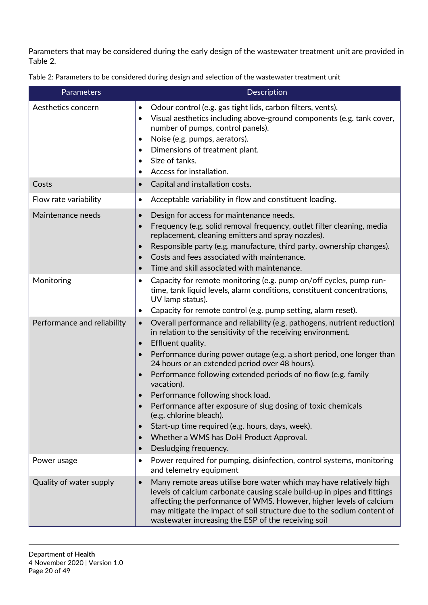Parameters that may be considered during the early design of the wastewater treatment unit are provided in [Table 2.](#page-19-0)

<span id="page-19-0"></span>Table 2: Parameters to be considered during design and selection of the wastewater treatment unit

| Parameters                  | <b>Description</b>                                                                                                                                                                                                                                                                                                                                                                                                                                                                                                                                                                                                                                                                                                          |
|-----------------------------|-----------------------------------------------------------------------------------------------------------------------------------------------------------------------------------------------------------------------------------------------------------------------------------------------------------------------------------------------------------------------------------------------------------------------------------------------------------------------------------------------------------------------------------------------------------------------------------------------------------------------------------------------------------------------------------------------------------------------------|
| Aesthetics concern          | Odour control (e.g. gas tight lids, carbon filters, vents).<br>$\bullet$<br>Visual aesthetics including above-ground components (e.g. tank cover,<br>$\bullet$<br>number of pumps, control panels).<br>Noise (e.g. pumps, aerators).<br>$\bullet$<br>Dimensions of treatment plant.<br>$\bullet$<br>Size of tanks.<br>$\bullet$<br>Access for installation.<br>٠                                                                                                                                                                                                                                                                                                                                                            |
| Costs                       | Capital and installation costs.<br>$\bullet$                                                                                                                                                                                                                                                                                                                                                                                                                                                                                                                                                                                                                                                                                |
| Flow rate variability       | Acceptable variability in flow and constituent loading.<br>$\bullet$                                                                                                                                                                                                                                                                                                                                                                                                                                                                                                                                                                                                                                                        |
| Maintenance needs           | Design for access for maintenance needs.<br>$\bullet$<br>Frequency (e.g. solid removal frequency, outlet filter cleaning, media<br>$\bullet$<br>replacement, cleaning emitters and spray nozzles).<br>Responsible party (e.g. manufacture, third party, ownership changes).<br>$\bullet$<br>Costs and fees associated with maintenance.<br>$\bullet$<br>Time and skill associated with maintenance.                                                                                                                                                                                                                                                                                                                         |
| Monitoring                  | Capacity for remote monitoring (e.g. pump on/off cycles, pump run-<br>$\bullet$<br>time, tank liquid levels, alarm conditions, constituent concentrations,<br>UV lamp status).<br>Capacity for remote control (e.g. pump setting, alarm reset).<br>$\bullet$                                                                                                                                                                                                                                                                                                                                                                                                                                                                |
| Performance and reliability | Overall performance and reliability (e.g. pathogens, nutrient reduction)<br>$\bullet$<br>in relation to the sensitivity of the receiving environment.<br>Effluent quality.<br>$\bullet$<br>Performance during power outage (e.g. a short period, one longer than<br>$\bullet$<br>24 hours or an extended period over 48 hours).<br>Performance following extended periods of no flow (e.g. family<br>$\bullet$<br>vacation).<br>Performance following shock load.<br>Performance after exposure of slug dosing of toxic chemicals<br>(e.g. chlorine bleach).<br>Start-up time required (e.g. hours, days, week).<br>$\bullet$<br>Whether a WMS has DoH Product Approval.<br>$\bullet$<br>Desludging frequency.<br>$\bullet$ |
| Power usage                 | Power required for pumping, disinfection, control systems, monitoring<br>$\bullet$<br>and telemetry equipment                                                                                                                                                                                                                                                                                                                                                                                                                                                                                                                                                                                                               |
| Quality of water supply     | Many remote areas utilise bore water which may have relatively high<br>$\bullet$<br>levels of calcium carbonate causing scale build-up in pipes and fittings<br>affecting the performance of WMS. However, higher levels of calcium<br>may mitigate the impact of soil structure due to the sodium content of<br>wastewater increasing the ESP of the receiving soil                                                                                                                                                                                                                                                                                                                                                        |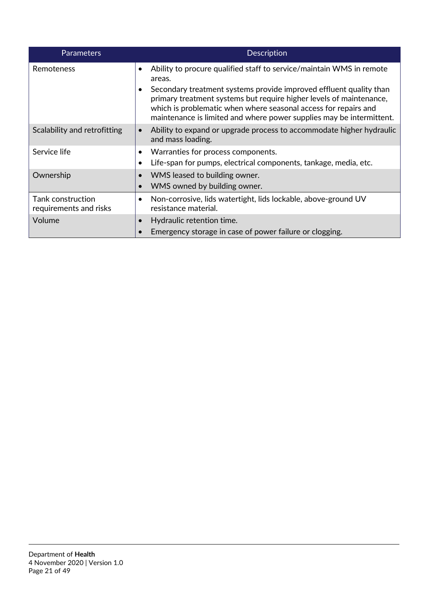| <b>Parameters</b>                           | <b>Description</b>                                                                                                                                                                                                                                                                        |
|---------------------------------------------|-------------------------------------------------------------------------------------------------------------------------------------------------------------------------------------------------------------------------------------------------------------------------------------------|
| Remoteness                                  | Ability to procure qualified staff to service/maintain WMS in remote<br>$\bullet$<br>areas.                                                                                                                                                                                               |
|                                             | Secondary treatment systems provide improved effluent quality than<br>٠<br>primary treatment systems but require higher levels of maintenance,<br>which is problematic when where seasonal access for repairs and<br>maintenance is limited and where power supplies may be intermittent. |
| Scalability and retrofitting                | Ability to expand or upgrade process to accommodate higher hydraulic<br>$\bullet$<br>and mass loading.                                                                                                                                                                                    |
| Service life                                | Warranties for process components.<br>٠                                                                                                                                                                                                                                                   |
|                                             | Life-span for pumps, electrical components, tankage, media, etc.<br>$\bullet$                                                                                                                                                                                                             |
| Ownership                                   | WMS leased to building owner.<br>$\bullet$                                                                                                                                                                                                                                                |
|                                             | WMS owned by building owner.<br>$\bullet$                                                                                                                                                                                                                                                 |
| Tank construction<br>requirements and risks | Non-corrosive, lids watertight, lids lockable, above-ground UV<br>٠<br>resistance material.                                                                                                                                                                                               |
| Volume                                      | Hydraulic retention time.<br>$\bullet$                                                                                                                                                                                                                                                    |
|                                             | Emergency storage in case of power failure or clogging.                                                                                                                                                                                                                                   |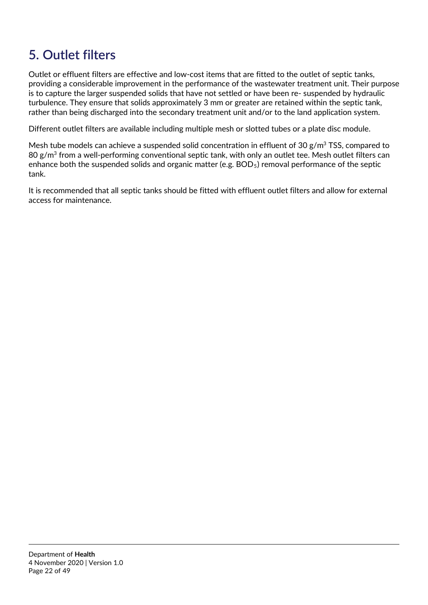# <span id="page-21-0"></span>**5. Outlet filters**

Outlet or effluent filters are effective and low-cost items that are fitted to the outlet of septic tanks, providing a considerable improvement in the performance of the wastewater treatment unit. Their purpose is to capture the larger suspended solids that have not settled or have been re- suspended by hydraulic turbulence. They ensure that solids approximately 3 mm or greater are retained within the septic tank, rather than being discharged into the secondary treatment unit and/or to the land application system.

Different outlet filters are available including multiple mesh or slotted tubes or a plate disc module.

Mesh tube models can achieve a suspended solid concentration in effluent of 30  $g/m<sup>3</sup>$  TSS, compared to 80  $\rm g/m^3$  from a well-performing conventional septic tank, with only an outlet tee. Mesh outlet filters can enhance both the suspended solids and organic matter (e.g.  $BOD_5$ ) removal performance of the septic tank.

It is recommended that all septic tanks should be fitted with effluent outlet filters and allow for external access for maintenance.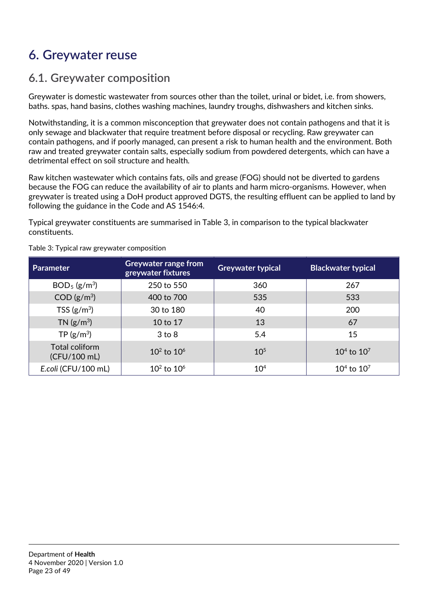# <span id="page-22-0"></span>**6. Greywater reuse**

### <span id="page-22-1"></span>**6.1. Greywater composition**

Greywater is domestic wastewater from sources other than the toilet, urinal or bidet, i.e. from showers, baths. spas, hand basins, clothes washing machines, laundry troughs, dishwashers and kitchen sinks.

Notwithstanding, it is a common misconception that greywater does not contain pathogens and that it is only sewage and blackwater that require treatment before disposal or recycling. Raw greywater can contain pathogens, and if poorly managed, can present a risk to human health and the environment. Both raw and treated greywater contain salts, especially sodium from powdered detergents, which can have a detrimental effect on soil structure and health.

Raw kitchen wastewater which contains fats, oils and grease (FOG) should not be diverted to gardens because the FOG can reduce the availability of air to plants and harm micro-organisms. However, when greywater is treated using a DoH product approved DGTS, the resulting effluent can be applied to land by following the guidance in the Code and AS 1546:4.

Typical greywater constituents are summarised in [Table 3,](#page-22-3) in comparison to the typical blackwater constituents.

<span id="page-22-2"></span>

| <b>Parameter</b>                     | <b>Greywater range from</b><br>greywater fixtures | <b>Greywater typical</b> | <b>Blackwater typical</b> |
|--------------------------------------|---------------------------------------------------|--------------------------|---------------------------|
| BOD <sub>5</sub> (g/m <sup>3</sup> ) | 250 to 550                                        | 360                      | 267                       |
| COD (g/m <sup>3</sup> )              | 400 to 700                                        | 535                      | 533                       |
| TSS $(g/m^3)$                        | 30 to 180                                         | 40                       | 200                       |
| TN $(g/m^3)$                         | 10 to 17                                          | 13                       | 67                        |
| TP $(g/m^3)$                         | $3$ to $8$                                        | 5.4                      | 15                        |
| Total coliform<br>(CFU/100 mL)       | $10^2$ to $10^6$                                  | 10 <sup>5</sup>          | $10^4$ to $10^7$          |
| E.coli (CFU/100 mL)                  | $10^2$ to $10^6$                                  | 10 <sup>4</sup>          | $10^4$ to $10^7$          |

<span id="page-22-3"></span>Table 3: Typical raw greywater composition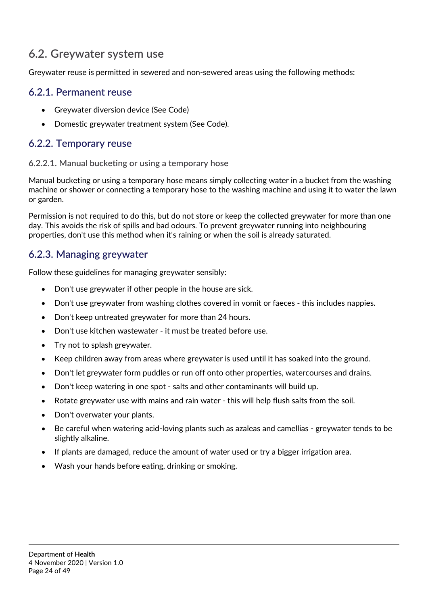### **6.2. Greywater system use**

Greywater reuse is permitted in sewered and non-sewered areas using the following methods:

#### **6.2.1. Permanent reuse**

- Greywater diversion device (See Code)
- Domestic greywater treatment system (See Code).

#### **6.2.2. Temporary reuse**

#### **6.2.2.1. Manual bucketing or using a temporary hose**

Manual bucketing or using a temporary hose means simply collecting water in a bucket from the washing machine or shower or connecting a temporary hose to the washing machine and using it to water the lawn or garden.

Permission is not required to do this, but do not store or keep the collected greywater for more than one day. This avoids the risk of spills and bad odours. To prevent greywater running into neighbouring properties, don't use this method when it's raining or when the soil is already saturated.

#### **6.2.3. Managing greywater**

Follow these guidelines for managing greywater sensibly:

- Don't use greywater if other people in the house are sick.
- Don't use greywater from washing clothes covered in vomit or faeces this includes nappies.
- Don't keep untreated greywater for more than 24 hours.
- Don't use kitchen wastewater it must be treated before use.
- Try not to splash greywater.
- Keep children away from areas where greywater is used until it has soaked into the ground.
- Don't let greywater form puddles or run off onto other properties, watercourses and drains.
- Don't keep watering in one spot salts and other contaminants will build up.
- Rotate greywater use with mains and rain water this will help flush salts from the soil.
- Don't overwater your plants.
- Be careful when watering acid-loving plants such as azaleas and camellias greywater tends to be slightly alkaline.
- If plants are damaged, reduce the amount of water used or try a bigger irrigation area.
- Wash your hands before eating, drinking or smoking.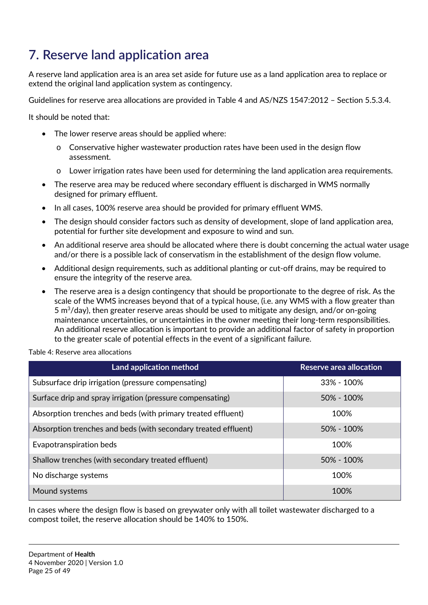# <span id="page-24-0"></span>**7. Reserve land application area**

A reserve land application area is an area set aside for future use as a land application area to replace or extend the original land application system as contingency.

Guidelines for reserve area allocations are provided in [Table 4](#page-24-1) and AS/NZS 1547:2012 – Section 5.5.3.4.

It should be noted that:

- The lower reserve areas should be applied where:
	- o Conservative higher wastewater production rates have been used in the design flow assessment.
	- $\circ$  Lower irrigation rates have been used for determining the land application area requirements.
- The reserve area may be reduced where secondary effluent is discharged in WMS normally designed for primary effluent.
- In all cases, 100% reserve area should be provided for primary effluent WMS.
- The design should consider factors such as density of development, slope of land application area, potential for further site development and exposure to wind and sun.
- An additional reserve area should be allocated where there is doubt concerning the actual water usage and/or there is a possible lack of conservatism in the establishment of the design flow volume.
- Additional design requirements, such as additional planting or cut-off drains, may be required to ensure the integrity of the reserve area.
- The reserve area is a design contingency that should be proportionate to the degree of risk. As the scale of the WMS increases beyond that of a typical house, (i.e. any WMS with a flow greater than 5 m<sup>3</sup>/day), then greater reserve areas should be used to mitigate any design, and/or on-going maintenance uncertainties, or uncertainties in the owner meeting their long-term responsibilities. An additional reserve allocation is important to provide an additional factor of safety in proportion to the greater scale of potential effects in the event of a significant failure.

<span id="page-24-1"></span>Table 4: Reserve area allocations

| <b>Land application method</b>                                 | <b>Reserve area allocation</b> |
|----------------------------------------------------------------|--------------------------------|
| Subsurface drip irrigation (pressure compensating)             | 33% - 100%                     |
| Surface drip and spray irrigation (pressure compensating)      | 50% - 100%                     |
| Absorption trenches and beds (with primary treated effluent)   | 100%                           |
| Absorption trenches and beds (with secondary treated effluent) | 50% - 100%                     |
| Evapotranspiration beds                                        | 100%                           |
| Shallow trenches (with secondary treated effluent)             | $50\% - 100\%$                 |
| No discharge systems                                           | 100%                           |
| Mound systems                                                  | 100%                           |

In cases where the design flow is based on greywater only with all toilet wastewater discharged to a compost toilet, the reserve allocation should be 140% to 150%.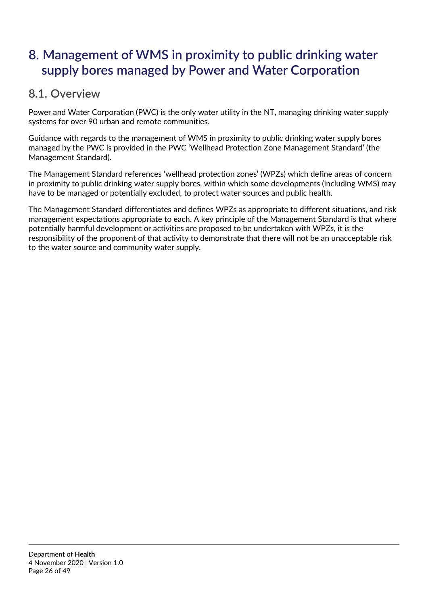# <span id="page-25-0"></span>**8. Management of WMS in proximity to public drinking water supply bores managed by Power and Water Corporation**

### <span id="page-25-1"></span>**8.1. Overview**

Power and Water Corporation (PWC) is the only water utility in the NT, managing drinking water supply systems for over 90 urban and remote communities.

Guidance with regards to the management of WMS in proximity to public drinking water supply bores managed by the PWC is provided in the PWC 'Wellhead Protection Zone Management Standard' (the Management Standard).

The Management Standard references 'wellhead protection zones' (WPZs) which define areas of concern in proximity to public drinking water supply bores, within which some developments (including WMS) may have to be managed or potentially excluded, to protect water sources and public health.

The Management Standard differentiates and defines WPZs as appropriate to different situations, and risk management expectations appropriate to each. A key principle of the Management Standard is that where potentially harmful development or activities are proposed to be undertaken with WPZs, it is the responsibility of the proponent of that activity to demonstrate that there will not be an unacceptable risk to the water source and community water supply.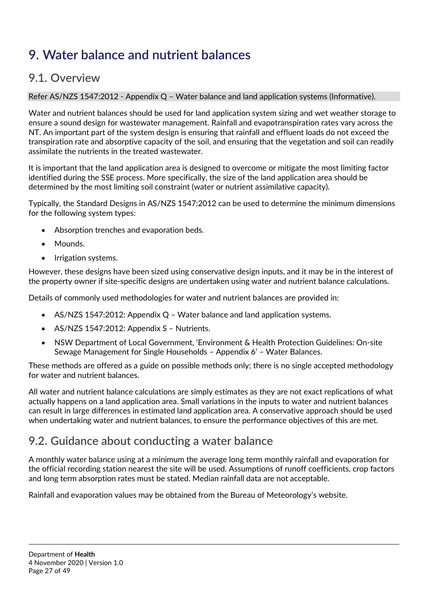# <span id="page-26-0"></span>**9. Water balance and nutrient balances**

#### <span id="page-26-1"></span>**9.1. Overview**

Refer AS/NZS 1547:2012 - Appendix Q – Water balance and land application systems (Informative).

Water and nutrient balances should be used for land application system sizing and wet weather storage to ensure a sound design for wastewater management. Rainfall and evapotranspiration rates vary across the NT. An important part of the system design is ensuring that rainfall and effluent loads do not exceed the transpiration rate and absorptive capacity of the soil, and ensuring that the vegetation and soil can readily assimilate the nutrients in the treated wastewater.

It is important that the land application area is designed to overcome or mitigate the most limiting factor identified during the SSE process. More specifically, the size of the land application area should be determined by the most limiting soil constraint (water or nutrient assimilative capacity).

Typically, the Standard Designs in AS/NZS 1547:2012 can be used to determine the minimum dimensions for the following system types:

- Absorption trenches and evaporation beds.
- Mounds.
- Irrigation systems.

However, these designs have been sized using conservative design inputs, and it may be in the interest of the property owner if site-specific designs are undertaken using water and nutrient balance calculations.

Details of commonly used methodologies for water and nutrient balances are provided in:

- AS/NZS 1547:2012: Appendix Q Water balance and land application systems.
- AS/NZS 1547:2012: Appendix S Nutrients.
- NSW Department of Local Government, 'Environment & Health Protection Guidelines: On-site Sewage Management for Single Households – Appendix 6' – Water Balances.

These methods are offered as a guide on possible methods only; there is no single accepted methodology for water and nutrient balances.

All water and nutrient balance calculations are simply estimates as they are not exact replications of what actually happens on a land application area. Small variations in the inputs to water and nutrient balances can result in large differences in estimated land application area. A conservative approach should be used when undertaking water and nutrient balances, to ensure the performance objectives of this are met.

### <span id="page-26-2"></span>**9.2. Guidance about conducting a water balance**

A monthly water balance using at a minimum the average long term monthly rainfall and evaporation for the official recording station nearest the site will be used. Assumptions of runoff coefficients, crop factors and long term absorption rates must be stated. Median rainfall data are not acceptable.

<span id="page-26-3"></span>Rainfall and evaporation values may be obtained from the Bureau of Meteorology's website.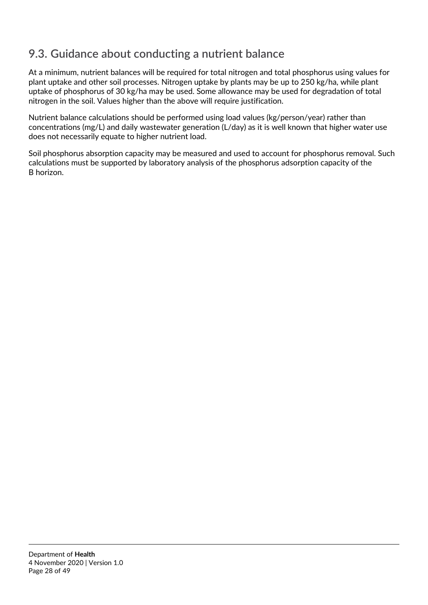# **9.3. Guidance about conducting a nutrient balance**

At a minimum, nutrient balances will be required for total nitrogen and total phosphorus using values for plant uptake and other soil processes. Nitrogen uptake by plants may be up to 250 kg/ha, while plant uptake of phosphorus of 30 kg/ha may be used. Some allowance may be used for degradation of total nitrogen in the soil. Values higher than the above will require justification.

Nutrient balance calculations should be performed using load values (kg/person/year) rather than concentrations (mg/L) and daily wastewater generation (L/day) as it is well known that higher water use does not necessarily equate to higher nutrient load.

Soil phosphorus absorption capacity may be measured and used to account for phosphorus removal. Such calculations must be supported by laboratory analysis of the phosphorus adsorption capacity of the B horizon.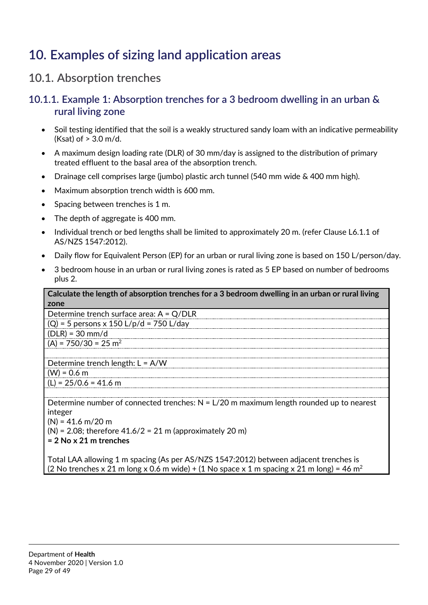# <span id="page-28-0"></span>**10. Examples of sizing land application areas**

### <span id="page-28-1"></span>**10.1. Absorption trenches**

#### **10.1.1. Example 1: Absorption trenches for a 3 bedroom dwelling in an urban & rural living zone**

- Soil testing identified that the soil is a weakly structured sandy loam with an indicative permeability (Ksat) of > 3.0 m/d.
- A maximum design loading rate (DLR) of 30 mm/day is assigned to the distribution of primary treated effluent to the basal area of the absorption trench.
- Drainage cell comprises large (jumbo) plastic arch tunnel (540 mm wide & 400 mm high).
- Maximum absorption trench width is 600 mm.
- Spacing between trenches is 1 m.
- The depth of aggregate is 400 mm.
- Individual trench or bed lengths shall be limited to approximately 20 m. (refer Clause L6.1.1 of AS/NZS 1547:2012).
- Daily flow for Equivalent Person (EP) for an urban or rural living zone is based on 150 L/person/day.
- 3 bedroom house in an urban or rural living zones is rated as 5 EP based on number of bedrooms plus 2.

**Calculate the length of absorption trenches for a 3 bedroom dwelling in an urban or rural living zone** Determine trench surface area: A = Q/DLR  $(Q) = 5$  persons x 150 L/p/d = 750 L/day (DLR) = 30 mm/d  $(A) = 750/30 = 25$  m<sup>2</sup> Determine trench length: L = A/W  $(W) = 0.6$  m  $(L) = 25/0.6 = 41.6$  m

Determine number of connected trenches:  $N = L/20$  m maximum length rounded up to nearest integer

 $(N) = 41.6$  m/20 m  $(N)$  = 2.08; therefore 41.6/2 = 21 m (approximately 20 m) **= 2 No x 21 m trenches**

Total LAA allowing 1 m spacing (As per AS/NZS 1547:2012) between adjacent trenches is (2 No trenches x 21 m long x 0.6 m wide) + (1 No space x 1 m spacing x 21 m long) = 46 m<sup>2</sup>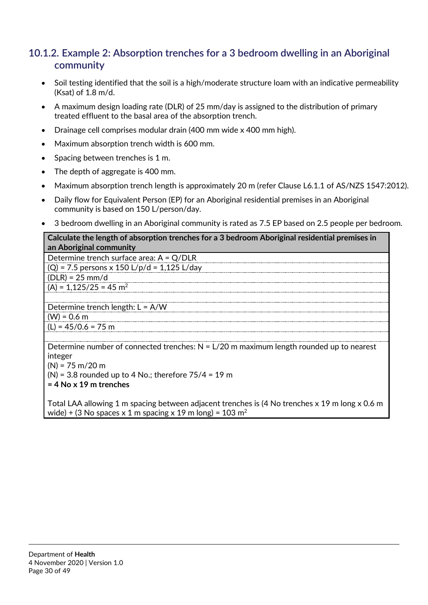#### **10.1.2. Example 2: Absorption trenches for a 3 bedroom dwelling in an Aboriginal community**

- Soil testing identified that the soil is a high/moderate structure loam with an indicative permeability (Ksat) of 1.8 m/d.
- A maximum design loading rate (DLR) of 25 mm/day is assigned to the distribution of primary treated effluent to the basal area of the absorption trench.
- Drainage cell comprises modular drain (400 mm wide x 400 mm high).
- Maximum absorption trench width is 600 mm.
- Spacing between trenches is 1 m.
- The depth of aggregate is 400 mm.
- Maximum absorption trench length is approximately 20 m (refer Clause L6.1.1 of AS/NZS 1547:2012).
- Daily flow for Equivalent Person (EP) for an Aboriginal residential premises in an Aboriginal community is based on 150 L/person/day.
- 3 bedroom dwelling in an Aboriginal community is rated as 7.5 EP based on 2.5 people per bedroom.

**Calculate the length of absorption trenches for a 3 bedroom Aboriginal residential premises in an Aboriginal community**

Determine trench surface area: A = Q/DLR

 $(Q)$  = 7.5 persons x 150 L/p/d = 1.125 L/day

(DLR) = 25 mm/d

 $(A) = 1,125/25 = 45$  m<sup>2</sup>

Determine trench length: L = A/W

 $(W) = 0.6$  m

 $(L) = 45/0.6 = 75$  m

Determine number of connected trenches:  $N = L/20$  m maximum length rounded up to nearest integer

 $(N) = 75$  m/20 m

 $(N)$  = 3.8 rounded up to 4 No.; therefore  $75/4$  = 19 m

**= 4 No x 19 m trenches**

Total LAA allowing 1 m spacing between adjacent trenches is (4 No trenches x 19 m long x 0.6 m wide) + (3 No spaces x 1 m spacing x 19 m long) =  $103 \text{ m}^2$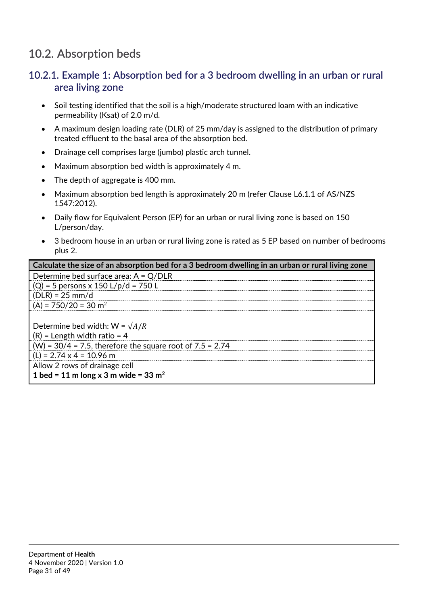## <span id="page-30-0"></span>**10.2. Absorption beds**

#### **10.2.1. Example 1: Absorption bed for a 3 bedroom dwelling in an urban or rural area living zone**

- Soil testing identified that the soil is a high/moderate structured loam with an indicative permeability (Ksat) of 2.0 m/d.
- A maximum design loading rate (DLR) of 25 mm/day is assigned to the distribution of primary treated effluent to the basal area of the absorption bed.
- Drainage cell comprises large (jumbo) plastic arch tunnel.
- Maximum absorption bed width is approximately 4 m.
- The depth of aggregate is 400 mm.
- Maximum absorption bed length is approximately 20 m (refer Clause L6.1.1 of AS/NZS 1547:2012).
- Daily flow for Equivalent Person (EP) for an urban or rural living zone is based on 150 L/person/day.
- 3 bedroom house in an urban or rural living zone is rated as 5 EP based on number of bedrooms plus 2.

| Calculate the size of an absorption bed for a 3 bedroom dwelling in an urban or rural living zone |
|---------------------------------------------------------------------------------------------------|
| Determine bed surface area: $A = Q/DLR$                                                           |
| $(Q) = 5$ persons x 150 L/p/d = 750 L                                                             |
| $(DLR) = 25$ mm/d                                                                                 |
| (A) = 750/20 = 30 m <sup>2</sup>                                                                  |
|                                                                                                   |
| Determine bed width: $W = \sqrt{A/R}$                                                             |
| $(R)$ = Length width ratio = 4                                                                    |
| $(W) = 30/4 = 7.5$ , therefore the square root of $7.5 = 2.74$                                    |
| (L) = 2.74 x 4 = 10.96 m                                                                          |
| Allow 2 rows of drainage cell                                                                     |
| 1 bed = 11 m long x 3 m wide = $33 \text{ m}^2$                                                   |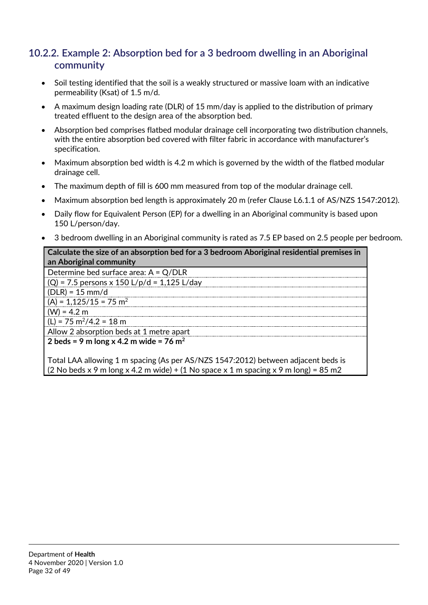#### **10.2.2. Example 2: Absorption bed for a 3 bedroom dwelling in an Aboriginal community**

- Soil testing identified that the soil is a weakly structured or massive loam with an indicative permeability (Ksat) of 1.5 m/d.
- A maximum design loading rate (DLR) of 15 mm/day is applied to the distribution of primary treated effluent to the design area of the absorption bed.
- Absorption bed comprises flatbed modular drainage cell incorporating two distribution channels, with the entire absorption bed covered with filter fabric in accordance with manufacturer's specification.
- Maximum absorption bed width is 4.2 m which is governed by the width of the flatbed modular drainage cell.
- The maximum depth of fill is 600 mm measured from top of the modular drainage cell.
- Maximum absorption bed length is approximately 20 m (refer Clause L6.1.1 of AS/NZS 1547:2012).
- Daily flow for Equivalent Person (EP) for a dwelling in an Aboriginal community is based upon 150 L/person/day.
- 3 bedroom dwelling in an Aboriginal community is rated as 7.5 EP based on 2.5 people per bedroom.

#### **Calculate the size of an absorption bed for a 3 bedroom Aboriginal residential premises in an Aboriginal community**

Determine bed surface area: A = Q/DLR

 $(Q)$  = 7.5 persons x 150 L/p/d = 1,125 L/day

 $(DLR) = 15$  mm/d

 $(A) = 1,125/15 = 75$  m<sup>2</sup>

 $(W) = 4.2 m$ 

 $(L) = 75 \text{ m}^2/4.2 = 18 \text{ m}$ 

Allow 2 absorption beds at 1 metre apart

**2 beds = 9 m long x 4.2 m wide = 76 m2**

<span id="page-31-0"></span>Total LAA allowing 1 m spacing (As per AS/NZS 1547:2012) between adjacent beds is (2 No beds x 9 m long x 4.2 m wide) + (1 No space x 1 m spacing x 9 m long) = 85 m2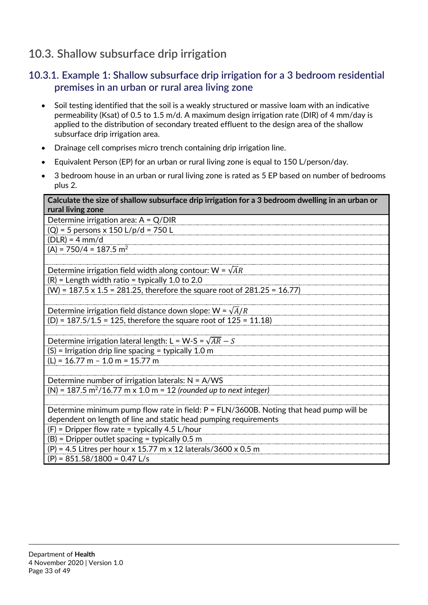### **10.3. Shallow subsurface drip irrigation**

#### **10.3.1. Example 1: Shallow subsurface drip irrigation for a 3 bedroom residential premises in an urban or rural area living zone**

- Soil testing identified that the soil is a weakly structured or massive loam with an indicative permeability (Ksat) of 0.5 to 1.5 m/d. A maximum design irrigation rate (DIR) of 4 mm/day is applied to the distribution of secondary treated effluent to the design area of the shallow subsurface drip irrigation area.
- Drainage cell comprises micro trench containing drip irrigation line.
- Equivalent Person (EP) for an urban or rural living zone is equal to 150 L/person/day.
- 3 bedroom house in an urban or rural living zone is rated as 5 EP based on number of bedrooms plus 2.

| Calculate the size of shallow subsurface drip irrigation for a 3 bedroom dwelling in an urban or |
|--------------------------------------------------------------------------------------------------|
| rural living zone                                                                                |
| Determine irrigation area: $A = Q/DIR$                                                           |
| $(Q) = 5$ persons x 150 L/p/d = 750 L                                                            |
| $(DLR) = 4 mm/d$                                                                                 |
| $(A) = 750/4 = 187.5$ m <sup>2</sup>                                                             |
|                                                                                                  |
| Determine irrigation field width along contour: $W = \sqrt{AR}$                                  |
| $(R)$ = Length width ratio = typically 1.0 to 2.0                                                |
| (W) = $187.5 \times 1.5 = 281.25$ , therefore the square root of $281.25 = 16.77$ )              |
|                                                                                                  |
| Determine irrigation field distance down slope: $W = \sqrt{A/R}$                                 |
| $(D) = 187.5/1.5 = 125$ , therefore the square root of $125 = 11.18$ )                           |
|                                                                                                  |
| Determine irrigation lateral length: $L = W-S = \sqrt{AR - S}$                                   |
| $(S)$ = Irrigation drip line spacing = typically 1.0 m                                           |
| $(L) = 16.77$ m - 1.0 m = 15.77 m                                                                |
|                                                                                                  |
| Determine number of irrigation laterals: $N = A/WS$                                              |
| (N) = 187.5 m <sup>2</sup> /16.77 m x 1.0 m = 12 (rounded up to next integer)                    |
|                                                                                                  |
| Determine minimum pump flow rate in field: P = FLN/3600B. Noting that head pump will be          |
| dependent on length of line and static head pumping requirements                                 |
| $(F)$ = Dripper flow rate = typically 4.5 L/hour                                                 |
| $(B)$ = Dripper outlet spacing = typically 0.5 m                                                 |
| (P) = 4.5 Litres per hour x 15.77 m x 12 laterals/3600 x 0.5 m                                   |
| $(P) = 851.58/1800 = 0.47$ L/s                                                                   |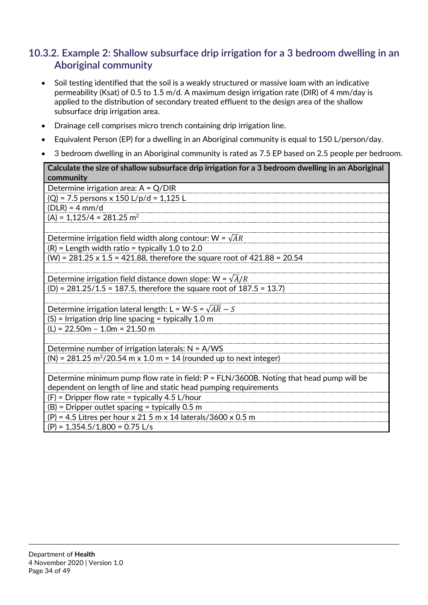#### **10.3.2. Example 2: Shallow subsurface drip irrigation for a 3 bedroom dwelling in an Aboriginal community**

- Soil testing identified that the soil is a weakly structured or massive loam with an indicative permeability (Ksat) of 0.5 to 1.5 m/d. A maximum design irrigation rate (DIR) of 4 mm/day is applied to the distribution of secondary treated effluent to the design area of the shallow subsurface drip irrigation area.
- Drainage cell comprises micro trench containing drip irrigation line.
- Equivalent Person (EP) for a dwelling in an Aboriginal community is equal to 150 L/person/day.
- 3 bedroom dwelling in an Aboriginal community is rated as 7.5 EP based on 2.5 people per bedroom.

<span id="page-33-0"></span>

| Calculate the size of shallow subsurface drip irrigation for a 3 bedroom dwelling in an Aboriginal<br>community |
|-----------------------------------------------------------------------------------------------------------------|
| Determine irrigation area: $A = Q/DIR$                                                                          |
| $(Q)$ = 7.5 persons x 150 L/p/d = 1,125 L                                                                       |
| $(DLR) = 4 mm/d$                                                                                                |
| $(A) = 1,125/4 = 281.25$ m <sup>2</sup>                                                                         |
|                                                                                                                 |
| Determine irrigation field width along contour: $W = \sqrt{AR}$                                                 |
| $(R)$ = Length width ratio = typically 1.0 to 2.0                                                               |
| (W) = $281.25 \times 1.5 = 421.88$ , therefore the square root of $421.88 = 20.54$                              |
|                                                                                                                 |
| Determine irrigation field distance down slope: $W = \sqrt{A/R}$                                                |
| $(D) = 281.25/1.5 = 187.5$ , therefore the square root of 187.5 = 13.7)                                         |
|                                                                                                                 |
| Determine irrigation lateral length: $L = W-S = \sqrt{AR - S}$                                                  |
| $(S)$ = Irrigation drip line spacing = typically 1.0 m                                                          |
| $(L) = 22.50m - 1.0m = 21.50m$                                                                                  |
|                                                                                                                 |
| Determine number of irrigation laterals: N = A/WS                                                               |
| (N) = 281.25 m <sup>2</sup> /20.54 m x 1.0 m = 14 (rounded up to next integer)                                  |
|                                                                                                                 |
| Determine minimum pump flow rate in field: $P = FLN/3600B$ . Noting that head pump will be                      |
| dependent on length of line and static head pumping requirements                                                |
| $(F)$ = Dripper flow rate = typically 4.5 L/hour                                                                |
| $(B)$ = Dripper outlet spacing = typically 0.5 m                                                                |
| (P) = 4.5 Litres per hour x 21 5 m x 14 laterals/3600 x 0.5 m                                                   |
| $(P) = 1,354.5/1,800 = 0.75$ L/s                                                                                |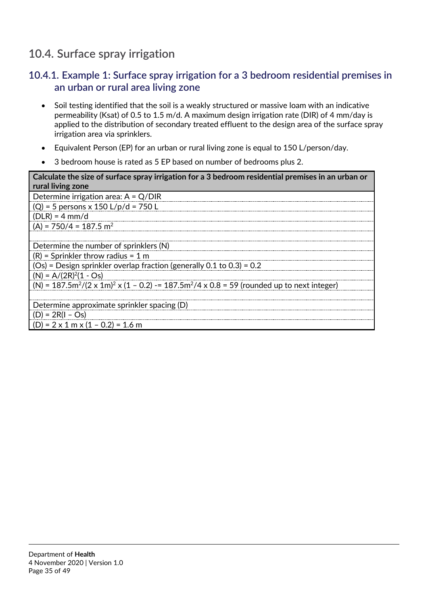# **10.4. Surface spray irrigation**

#### **10.4.1. Example 1: Surface spray irrigation for a 3 bedroom residential premises in an urban or rural area living zone**

- Soil testing identified that the soil is a weakly structured or massive loam with an indicative permeability (Ksat) of 0.5 to 1.5 m/d. A maximum design irrigation rate (DIR) of 4 mm/day is applied to the distribution of secondary treated effluent to the design area of the surface spray irrigation area via sprinklers.
- Equivalent Person (EP) for an urban or rural living zone is equal to 150 L/person/day.
- 3 bedroom house is rated as 5 EP based on number of bedrooms plus 2.

| Calculate the size of surface spray irrigation for a 3 bedroom residential premises in an urban or                                     |
|----------------------------------------------------------------------------------------------------------------------------------------|
| rural living zone                                                                                                                      |
| Determine irrigation area: $A = Q/DIR$                                                                                                 |
| $(Q)$ = 5 persons x 150 L/p/d = 750 L                                                                                                  |
| $(DLR) = 4$ mm/d                                                                                                                       |
| $(A) = 750/4 = 187.5$ m <sup>2</sup>                                                                                                   |
|                                                                                                                                        |
| Determine the number of sprinklers (N)                                                                                                 |
| $(R)$ = Sprinkler throw radius = 1 m                                                                                                   |
| $(Os)$ = Design sprinkler overlap fraction (generally 0.1 to 0.3) = 0.2                                                                |
| $(N) = A/(2R)^{2}(1 - Os)$                                                                                                             |
| (N) = $187.5 \text{m}^2/(2 \times 1 \text{m})^2 \times (1 - 0.2)$ -= $187.5 \text{m}^2/4 \times 0.8$ = 59 (rounded up to next integer) |
|                                                                                                                                        |
| Determine approximate sprinkler spacing (D)                                                                                            |
| $(D) = 2R(I - Os)$                                                                                                                     |
| $(D) = 2 \times 1$ m x $(1 - 0.2) = 1.6$ m                                                                                             |
|                                                                                                                                        |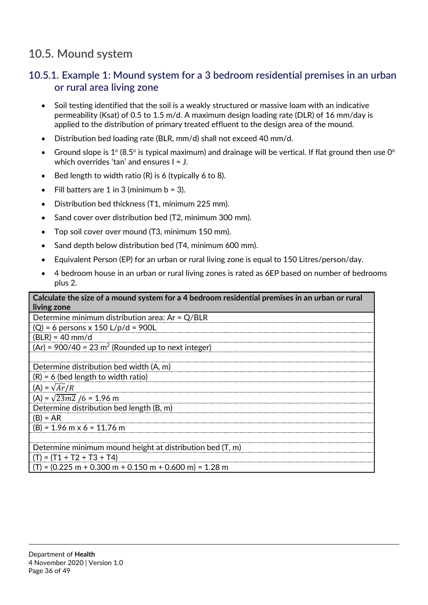### <span id="page-35-0"></span>**10.5. Mound system**

#### **10.5.1. Example 1: Mound system for a 3 bedroom residential premises in an urban or rural area living zone**

- Soil testing identified that the soil is a weakly structured or massive loam with an indicative permeability (Ksat) of 0.5 to 1.5 m/d. A maximum design loading rate (DLR) of 16 mm/day is applied to the distribution of primary treated effluent to the design area of the mound.
- Distribution bed loading rate (BLR, mm/d) shall not exceed 40 mm/d.
- Ground slope is 1° (8.5° is typical maximum) and drainage will be vertical. If flat ground then use  $0^\circ$ which overrides 'tan' and ensures I = J.
- Bed length to width ratio  $(R)$  is 6 (typically 6 to 8).
- Fill batters are 1 in 3 (minimum  $b = 3$ ).
- Distribution bed thickness (T1, minimum 225 mm).
- Sand cover over distribution bed (T2, minimum 300 mm).
- Top soil cover over mound (T3, minimum 150 mm).
- Sand depth below distribution bed (T4, minimum 600 mm).
- Equivalent Person (EP) for an urban or rural living zone is equal to 150 Litres/person/day.
- 4 bedroom house in an urban or rural living zones is rated as 6EP based on number of bedrooms plus 2.

| Calculate the size of a mound system for a 4 bedroom residential premises in an urban or rural |
|------------------------------------------------------------------------------------------------|
| living zone                                                                                    |
| Determine minimum distribution area: Ar = Q/BLR                                                |
| $(Q) = 6$ persons x 150 L/p/d = 900L                                                           |
| $(BLR) = 40$ mm/d                                                                              |
| $(Ar) = 900/40 = 23 m2$ (Rounded up to next integer)                                           |
|                                                                                                |
| Determine distribution bed width (A, m)                                                        |
| $(R) = 6$ (bed length to width ratio)                                                          |
| $(A) = \sqrt{Ar}/R$                                                                            |
| $(A) = \sqrt{23m^2}/6 = 1.96$ m                                                                |
| Determine distribution bed length (B, m)                                                       |
| $(B) = AR$                                                                                     |
| $(B) = 1.96$ m x 6 = 11.76 m                                                                   |
|                                                                                                |
| Determine minimum mound height at distribution bed (T, m)                                      |
| $(T) = (T1 + T2 + T3 + T4)$                                                                    |
| $(T) = (0.225 m + 0.300 m + 0.150 m + 0.600 m) = 1.28 m$                                       |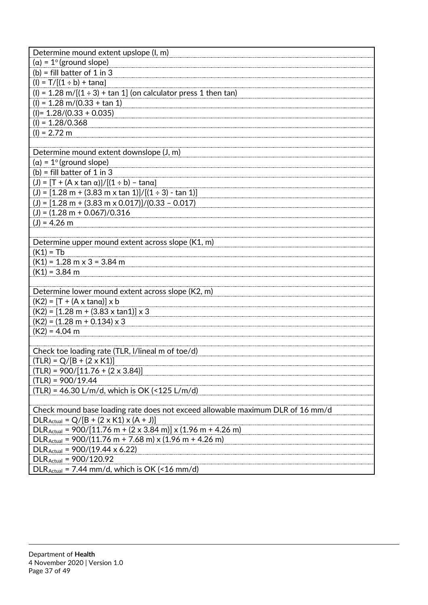| Determine mound extent upslope (I, m)                                                                   |
|---------------------------------------------------------------------------------------------------------|
| $(\alpha) = 1^{\circ}$ (ground slope)                                                                   |
| (b) = fill batter of $1$ in $3$                                                                         |
| $(I) = T/[(1 \div b) + \tan \alpha]$                                                                    |
| (I) = $1.28 \text{ m}/[(1 \div 3) + \tan 1]$ (on calculator press 1 then tan)                           |
| $(I) = 1.28 \text{ m}/(0.33 + \tan 1)$                                                                  |
| $(I)= 1.28/(0.33 + 0.035)$                                                                              |
| $(I) = 1.28/0.368$                                                                                      |
| $(l) = 2.72$ m                                                                                          |
|                                                                                                         |
| Determine mound extent downslope (J, m)                                                                 |
| $(\alpha) = 1^{\circ}$ (ground slope)                                                                   |
| $(b)$ = fill batter of 1 in 3                                                                           |
| (J) = $[T + (A \times \tan \alpha)]/[(1 \div b) - \tan \alpha]$                                         |
| (J) = $[1.28 \text{ m} + (3.83 \text{ m} \times \tan 1)]/[(1 \div 3) - \tan 1)]$                        |
| $J = [1.28 \text{ m} + (3.83 \text{ m} \times 0.017)]/(0.33 - 0.017)$                                   |
| $J = (1.28 \text{ m} + 0.067)/0.316$                                                                    |
| $(J) = 4.26$ m                                                                                          |
|                                                                                                         |
| Determine upper mound extent across slope (K1, m)                                                       |
| $(K1) = Tb$                                                                                             |
| $(K1) = 1.28$ m x 3 = 3.84 m                                                                            |
| $(K1) = 3.84$ m                                                                                         |
|                                                                                                         |
| Determine lower mound extent across slope (K2, m)                                                       |
| $(K2) = [T + (A \times tan\alpha)] \times b$                                                            |
| $(K2) = [1.28 m + (3.83 x tan 1)] x 3$                                                                  |
| $(K2) = (1.28 m + 0.134) \times 3$                                                                      |
| $(K2) = 4.04$ m                                                                                         |
|                                                                                                         |
| Check toe loading rate (TLR, I/lineal m of toe/d)                                                       |
| $(TLR) = Q/[B + (2 \times K1)]$                                                                         |
| $(TLR) = 900/[11.76 + (2 \times 3.84)]$                                                                 |
| $(TLR) = 900/19.44$                                                                                     |
| $(TLR) = 46.30$ L/m/d, which is OK (<125 L/m/d)                                                         |
|                                                                                                         |
| Check mound base loading rate does not exceed allowable maximum DLR of 16 mm/d                          |
| $DLR_{Actual} = Q/[B + (2 \times K1) \times (A + J)]$                                                   |
| $DLR_{Actual}$ = 900/[11.76 m + (2 x 3.84 m)] x (1.96 m + 4.26 m)                                       |
| $DLR_{\text{Actual}} = 900/(11.76 \text{ m} + 7.68 \text{ m}) \times (1.96 \text{ m} + 4.26 \text{ m})$ |
| $DLR_{\text{Actual}} = 900/(19.44 \times 6.22)$                                                         |
| $DLR_{\text{Actual}} = 900/120.92$                                                                      |
| $DLR_{Actual}$ = 7.44 mm/d, which is OK (<16 mm/d)                                                      |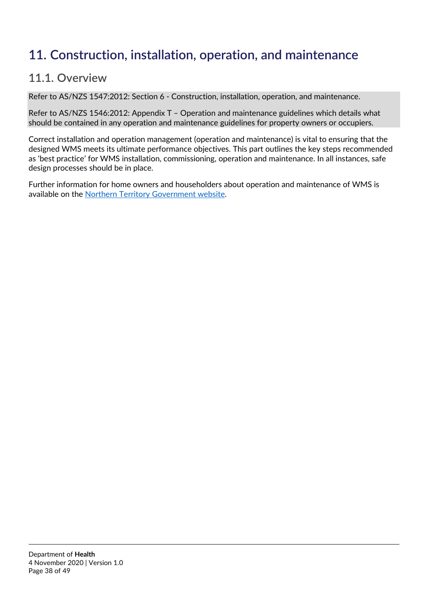# <span id="page-37-0"></span>**11. Construction, installation, operation, and maintenance**

#### <span id="page-37-1"></span>**11.1. Overview**

Refer to AS/NZS 1547:2012: Section 6 - Construction, installation, operation, and maintenance.

Refer to AS/NZS 1546:2012: Appendix T – Operation and maintenance guidelines which details what should be contained in any operation and maintenance guidelines for property owners or occupiers.

Correct installation and operation management (operation and maintenance) is vital to ensuring that the designed WMS meets its ultimate performance objectives. This part outlines the key steps recommended as 'best practice' for WMS installation, commissioning, operation and maintenance. In all instances, safe design processes should be in place.

Further information for home owners and householders about operation and maintenance of WMS is available on the [Northern Territory Government website.](https://nt.gov.au/property/building/install-a-wastewater-system/wastewater-management/outside-building-control-areas)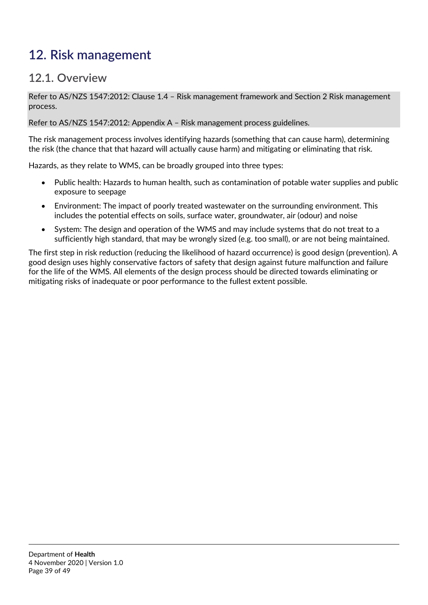# <span id="page-38-0"></span>**12. Risk management**

### <span id="page-38-1"></span>**12.1. Overview**

Refer to AS/NZS 1547:2012: Clause 1.4 – Risk management framework and Section 2 Risk management process.

Refer to AS/NZS 1547:2012: Appendix A – Risk management process guidelines.

The risk management process involves identifying hazards (something that can cause harm), determining the risk (the chance that that hazard will actually cause harm) and mitigating or eliminating that risk.

Hazards, as they relate to WMS, can be broadly grouped into three types:

- Public health: Hazards to human health, such as contamination of potable water supplies and public exposure to seepage
- Environment: The impact of poorly treated wastewater on the surrounding environment. This includes the potential effects on soils, surface water, groundwater, air (odour) and noise
- System: The design and operation of the WMS and may include systems that do not treat to a sufficiently high standard, that may be wrongly sized (e.g. too small), or are not being maintained.

The first step in risk reduction (reducing the likelihood of hazard occurrence) is good design (prevention). A good design uses highly conservative factors of safety that design against future malfunction and failure for the life of the WMS. All elements of the design process should be directed towards eliminating or mitigating risks of inadequate or poor performance to the fullest extent possible.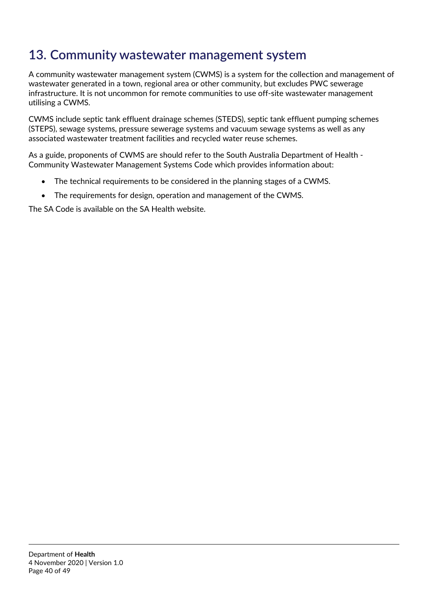# <span id="page-39-0"></span>**13. Community wastewater management system**

A community wastewater management system (CWMS) is a system for the collection and management of wastewater generated in a town, regional area or other community, but excludes PWC sewerage infrastructure. It is not uncommon for remote communities to use off-site wastewater management utilising a CWMS.

CWMS include septic tank effluent drainage schemes (STEDS), septic tank effluent pumping schemes (STEPS), sewage systems, pressure sewerage systems and vacuum sewage systems as well as any associated wastewater treatment facilities and recycled water reuse schemes.

As a guide, proponents of CWMS are should refer to the South Australia Department of Health - Community Wastewater Management Systems Code which provides information about:

- The technical requirements to be considered in the planning stages of a CWMS.
- The requirements for design, operation and management of the CWMS.

The SA Code is available on the SA Health website.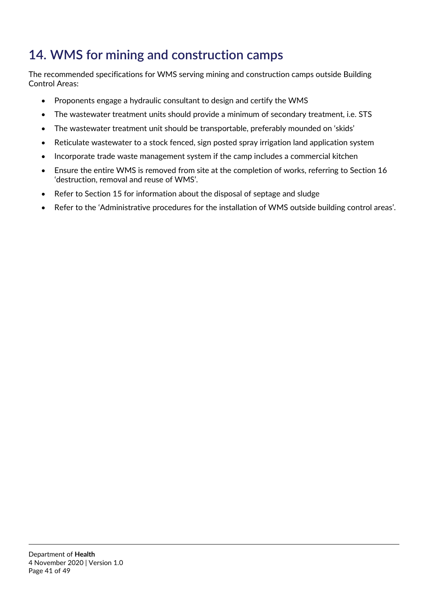# <span id="page-40-0"></span>**14. WMS for mining and construction camps**

The recommended specifications for WMS serving mining and construction camps outside Building Control Areas:

- Proponents engage a hydraulic consultant to design and certify the WMS
- The wastewater treatment units should provide a minimum of secondary treatment, i.e. STS
- The wastewater treatment unit should be transportable, preferably mounded on 'skids'
- Reticulate wastewater to a stock fenced, sign posted spray irrigation land application system
- Incorporate trade waste management system if the camp includes a commercial kitchen
- Ensure the entire WMS is removed from site at the completion of works, referring to Section 16 'destruction, removal and reuse of WMS'.
- Refer to Section 15 for information about the disposal of septage and sludge
- Refer to the 'Administrative procedures for the installation of WMS outside building control areas'.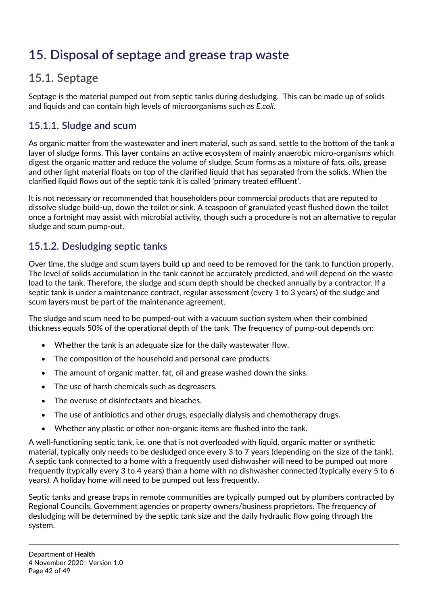# <span id="page-41-0"></span>**15. Disposal of septage and grease trap waste**

### <span id="page-41-1"></span>**15.1. Septage**

Septage is the material pumped out from septic tanks during desludging. This can be made up of solids and liquids and can contain high levels of microorganisms such as *E.coli*.

#### **15.1.1. Sludge and scum**

As organic matter from the wastewater and inert material, such as sand, settle to the bottom of the tank a layer of sludge forms. This layer contains an active ecosystem of mainly anaerobic micro-organisms which digest the organic matter and reduce the volume of sludge. Scum forms as a mixture of fats, oils, grease and other light material floats on top of the clarified liquid that has separated from the solids. When the clarified liquid flows out of the septic tank it is called 'primary treated effluent'.

It is not necessary or recommended that householders pour commercial products that are reputed to dissolve sludge build-up, down the toilet or sink. A teaspoon of granulated yeast flushed down the toilet once a fortnight may assist with microbial activity, though such a procedure is not an alternative to regular sludge and scum pump-out.

#### **15.1.2. Desludging septic tanks**

Over time, the sludge and scum layers build up and need to be removed for the tank to function properly. The level of solids accumulation in the tank cannot be accurately predicted, and will depend on the waste load to the tank. Therefore, the sludge and scum depth should be checked annually by a contractor. If a septic tank is under a maintenance contract, regular assessment (every 1 to 3 years) of the sludge and scum layers must be part of the maintenance agreement.

The sludge and scum need to be pumped-out with a vacuum suction system when their combined thickness equals 50% of the operational depth of the tank. The frequency of pump-out depends on:

- Whether the tank is an adequate size for the daily wastewater flow.
- The composition of the household and personal care products.
- The amount of organic matter, fat, oil and grease washed down the sinks.
- The use of harsh chemicals such as degreasers.
- The overuse of disinfectants and bleaches.
- The use of antibiotics and other drugs, especially dialysis and chemotherapy drugs.
- Whether any plastic or other non-organic items are flushed into the tank.

A well-functioning septic tank, i.e. one that is not overloaded with liquid, organic matter or synthetic material, typically only needs to be desludged once every 3 to 7 years (depending on the size of the tank). A septic tank connected to a home with a frequently used dishwasher will need to be pumped out more frequently (typically every 3 to 4 years) than a home with no dishwasher connected (typically every 5 to 6 years). A holiday home will need to be pumped out less frequently.

Septic tanks and grease traps in remote communities are typically pumped out by plumbers contracted by Regional Councils, Government agencies or property owners/business proprietors. The frequency of desludging will be determined by the septic tank size and the daily hydraulic flow going through the system.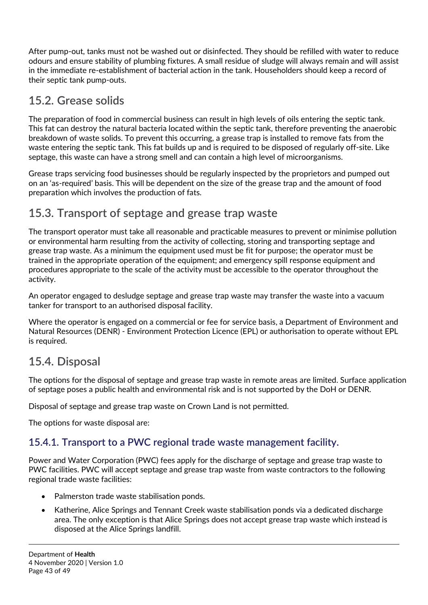After pump-out, tanks must not be washed out or disinfected. They should be refilled with water to reduce odours and ensure stability of plumbing fixtures. A small residue of sludge will always remain and will assist in the immediate re-establishment of bacterial action in the tank. Householders should keep a record of their septic tank pump-outs.

### <span id="page-42-0"></span>**15.2. Grease solids**

The preparation of food in commercial business can result in high levels of oils entering the septic tank. This fat can destroy the natural bacteria located within the septic tank, therefore preventing the anaerobic breakdown of waste solids. To prevent this occurring, a grease trap is installed to remove fats from the waste entering the septic tank. This fat builds up and is required to be disposed of regularly off-site. Like septage, this waste can have a strong smell and can contain a high level of microorganisms.

Grease traps servicing food businesses should be regularly inspected by the proprietors and pumped out on an 'as-required' basis. This will be dependent on the size of the grease trap and the amount of food preparation which involves the production of fats.

### <span id="page-42-1"></span>**15.3. Transport of septage and grease trap waste**

The transport operator must take all reasonable and practicable measures to prevent or minimise pollution or environmental harm resulting from the activity of collecting, storing and transporting septage and grease trap waste. As a minimum the equipment used must be fit for purpose; the operator must be trained in the appropriate operation of the equipment; and emergency spill response equipment and procedures appropriate to the scale of the activity must be accessible to the operator throughout the activity.

An operator engaged to desludge septage and grease trap waste may transfer the waste into a vacuum tanker for transport to an authorised disposal facility.

Where the operator is engaged on a commercial or fee for service basis, a Department of Environment and Natural Resources (DENR) - Environment Protection Licence (EPL) or authorisation to operate without EPL is required.

### <span id="page-42-2"></span>**15.4. Disposal**

The options for the disposal of septage and grease trap waste in remote areas are limited. Surface application of septage poses a public health and environmental risk and is not supported by the DoH or DENR.

Disposal of septage and grease trap waste on Crown Land is not permitted.

The options for waste disposal are:

#### **15.4.1. Transport to a PWC regional trade waste management facility.**

Power and Water Corporation (PWC) fees apply for the discharge of septage and grease trap waste to PWC facilities. PWC will accept septage and grease trap waste from waste contractors to the following regional trade waste facilities:

- Palmerston trade waste stabilisation ponds.
- Katherine, Alice Springs and Tennant Creek waste stabilisation ponds via a dedicated discharge area. The only exception is that Alice Springs does not accept grease trap waste which instead is disposed at the Alice Springs landfill.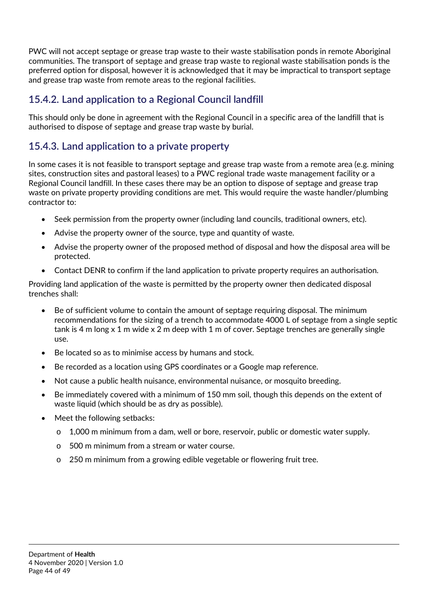PWC will not accept septage or grease trap waste to their waste stabilisation ponds in remote Aboriginal communities. The transport of septage and grease trap waste to regional waste stabilisation ponds is the preferred option for disposal, however it is acknowledged that it may be impractical to transport septage and grease trap waste from remote areas to the regional facilities.

#### **15.4.2. Land application to a Regional Council landfill**

This should only be done in agreement with the Regional Council in a specific area of the landfill that is authorised to dispose of septage and grease trap waste by burial.

#### **15.4.3. Land application to a private property**

In some cases it is not feasible to transport septage and grease trap waste from a remote area (e.g. mining sites, construction sites and pastoral leases) to a PWC regional trade waste management facility or a Regional Council landfill. In these cases there may be an option to dispose of septage and grease trap waste on private property providing conditions are met. This would require the waste handler/plumbing contractor to:

- Seek permission from the property owner (including land councils, traditional owners, etc).
- Advise the property owner of the source, type and quantity of waste.
- Advise the property owner of the proposed method of disposal and how the disposal area will be protected.
- Contact DENR to confirm if the land application to private property requires an authorisation.

Providing land application of the waste is permitted by the property owner then dedicated disposal trenches shall:

- Be of sufficient volume to contain the amount of septage requiring disposal. The minimum recommendations for the sizing of a trench to accommodate 4000 L of septage from a single septic tank is 4 m long x 1 m wide x 2 m deep with 1 m of cover. Septage trenches are generally single use.
- Be located so as to minimise access by humans and stock.
- Be recorded as a location using GPS coordinates or a Google map reference.
- Not cause a public health nuisance, environmental nuisance, or mosquito breeding.
- Be immediately covered with a minimum of 150 mm soil, though this depends on the extent of waste liquid (which should be as dry as possible).
- Meet the following setbacks:
	- o 1,000 m minimum from a dam, well or bore, reservoir, public or domestic water supply.
	- o 500 m minimum from a stream or water course.
	- o 250 m minimum from a growing edible vegetable or flowering fruit tree.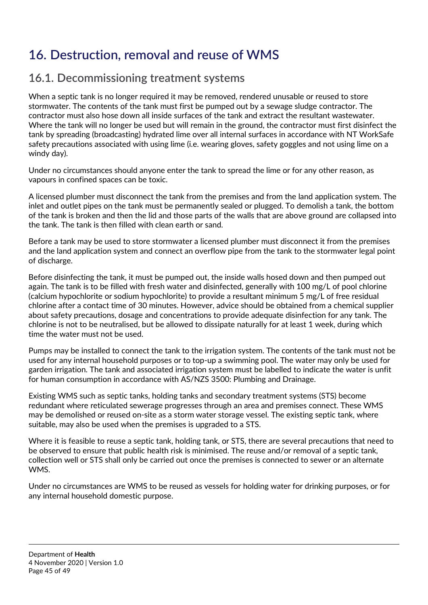# <span id="page-44-0"></span>**16. Destruction, removal and reuse of WMS**

### <span id="page-44-1"></span>**16.1. Decommissioning treatment systems**

When a septic tank is no longer required it may be removed, rendered unusable or reused to store stormwater. The contents of the tank must first be pumped out by a sewage sludge contractor. The contractor must also hose down all inside surfaces of the tank and extract the resultant wastewater. Where the tank will no longer be used but will remain in the ground, the contractor must first disinfect the tank by spreading (broadcasting) hydrated lime over all internal surfaces in accordance with NT WorkSafe safety precautions associated with using lime (i.e. wearing gloves, safety goggles and not using lime on a windy day).

Under no circumstances should anyone enter the tank to spread the lime or for any other reason, as vapours in confined spaces can be toxic.

A licensed plumber must disconnect the tank from the premises and from the land application system. The inlet and outlet pipes on the tank must be permanently sealed or plugged. To demolish a tank, the bottom of the tank is broken and then the lid and those parts of the walls that are above ground are collapsed into the tank. The tank is then filled with clean earth or sand.

Before a tank may be used to store stormwater a licensed plumber must disconnect it from the premises and the land application system and connect an overflow pipe from the tank to the stormwater legal point of discharge.

Before disinfecting the tank, it must be pumped out, the inside walls hosed down and then pumped out again. The tank is to be filled with fresh water and disinfected, generally with 100 mg/L of pool chlorine (calcium hypochlorite or sodium hypochlorite) to provide a resultant minimum 5 mg/L of free residual chlorine after a contact time of 30 minutes. However, advice should be obtained from a chemical supplier about safety precautions, dosage and concentrations to provide adequate disinfection for any tank. The chlorine is not to be neutralised, but be allowed to dissipate naturally for at least 1 week, during which time the water must not be used.

Pumps may be installed to connect the tank to the irrigation system. The contents of the tank must not be used for any internal household purposes or to top-up a swimming pool. The water may only be used for garden irrigation. The tank and associated irrigation system must be labelled to indicate the water is unfit for human consumption in accordance with AS/NZS 3500: Plumbing and Drainage.

Existing WMS such as septic tanks, holding tanks and secondary treatment systems (STS) become redundant where reticulated sewerage progresses through an area and premises connect. These WMS may be demolished or reused on-site as a storm water storage vessel. The existing septic tank, where suitable, may also be used when the premises is upgraded to a STS.

Where it is feasible to reuse a septic tank, holding tank, or STS, there are several precautions that need to be observed to ensure that public health risk is minimised. The reuse and/or removal of a septic tank, collection well or STS shall only be carried out once the premises is connected to sewer or an alternate WMS.

<span id="page-44-2"></span>Under no circumstances are WMS to be reused as vessels for holding water for drinking purposes, or for any internal household domestic purpose.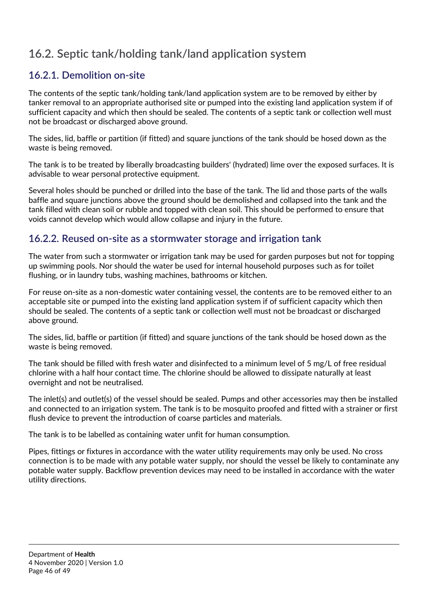# **16.2. Septic tank/holding tank/land application system**

#### **16.2.1. Demolition on-site**

The contents of the septic tank/holding tank/land application system are to be removed by either by tanker removal to an appropriate authorised site or pumped into the existing land application system if of sufficient capacity and which then should be sealed. The contents of a septic tank or collection well must not be broadcast or discharged above ground.

The sides, lid, baffle or partition (if fitted) and square junctions of the tank should be hosed down as the waste is being removed.

The tank is to be treated by liberally broadcasting builders' (hydrated) lime over the exposed surfaces. It is advisable to wear personal protective equipment.

Several holes should be punched or drilled into the base of the tank. The lid and those parts of the walls baffle and square junctions above the ground should be demolished and collapsed into the tank and the tank filled with clean soil or rubble and topped with clean soil. This should be performed to ensure that voids cannot develop which would allow collapse and injury in the future.

#### **16.2.2. Reused on-site as a stormwater storage and irrigation tank**

The water from such a stormwater or irrigation tank may be used for garden purposes but not for topping up swimming pools. Nor should the water be used for internal household purposes such as for toilet flushing, or in laundry tubs, washing machines, bathrooms or kitchen.

For reuse on-site as a non-domestic water containing vessel, the contents are to be removed either to an acceptable site or pumped into the existing land application system if of sufficient capacity which then should be sealed. The contents of a septic tank or collection well must not be broadcast or discharged above ground.

The sides, lid, baffle or partition (if fitted) and square junctions of the tank should be hosed down as the waste is being removed.

The tank should be filled with fresh water and disinfected to a minimum level of 5 mg/L of free residual chlorine with a half hour contact time. The chlorine should be allowed to dissipate naturally at least overnight and not be neutralised.

The inlet(s) and outlet(s) of the vessel should be sealed. Pumps and other accessories may then be installed and connected to an irrigation system. The tank is to be mosquito proofed and fitted with a strainer or first flush device to prevent the introduction of coarse particles and materials.

The tank is to be labelled as containing water unfit for human consumption.

Pipes, fittings or fixtures in accordance with the water utility requirements may only be used. No cross connection is to be made with any potable water supply, nor should the vessel be likely to contaminate any potable water supply. Backflow prevention devices may need to be installed in accordance with the water utility directions.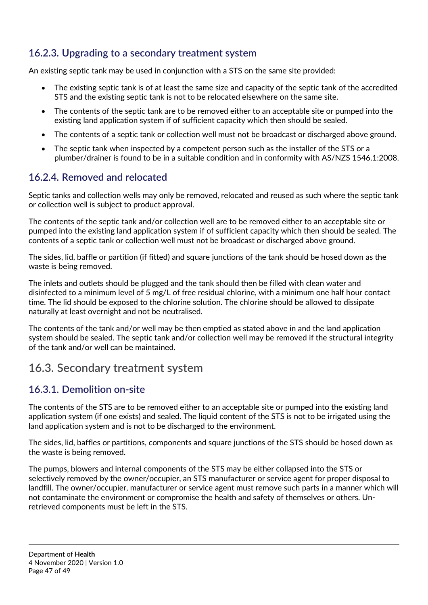#### **16.2.3. Upgrading to a secondary treatment system**

An existing septic tank may be used in conjunction with a STS on the same site provided:

- The existing septic tank is of at least the same size and capacity of the septic tank of the accredited STS and the existing septic tank is not to be relocated elsewhere on the same site.
- The contents of the septic tank are to be removed either to an acceptable site or pumped into the existing land application system if of sufficient capacity which then should be sealed.
- The contents of a septic tank or collection well must not be broadcast or discharged above ground.
- The septic tank when inspected by a competent person such as the installer of the STS or a plumber/drainer is found to be in a suitable condition and in conformity with AS/NZS 1546.1:2008.

#### **16.2.4. Removed and relocated**

Septic tanks and collection wells may only be removed, relocated and reused as such where the septic tank or collection well is subject to product approval.

The contents of the septic tank and/or collection well are to be removed either to an acceptable site or pumped into the existing land application system if of sufficient capacity which then should be sealed. The contents of a septic tank or collection well must not be broadcast or discharged above ground.

The sides, lid, baffle or partition (if fitted) and square junctions of the tank should be hosed down as the waste is being removed.

The inlets and outlets should be plugged and the tank should then be filled with clean water and disinfected to a minimum level of 5 mg/L of free residual chlorine, with a minimum one half hour contact time. The lid should be exposed to the chlorine solution. The chlorine should be allowed to dissipate naturally at least overnight and not be neutralised.

The contents of the tank and/or well may be then emptied as stated above in and the land application system should be sealed. The septic tank and/or collection well may be removed if the structural integrity of the tank and/or well can be maintained.

### <span id="page-46-0"></span>**16.3. Secondary treatment system**

#### **16.3.1. Demolition on-site**

The contents of the STS are to be removed either to an acceptable site or pumped into the existing land application system (if one exists) and sealed. The liquid content of the STS is not to be irrigated using the land application system and is not to be discharged to the environment.

The sides, lid, baffles or partitions, components and square junctions of the STS should be hosed down as the waste is being removed.

The pumps, blowers and internal components of the STS may be either collapsed into the STS or selectively removed by the owner/occupier, an STS manufacturer or service agent for proper disposal to landfill. The owner/occupier, manufacturer or service agent must remove such parts in a manner which will not contaminate the environment or compromise the health and safety of themselves or others. Unretrieved components must be left in the STS.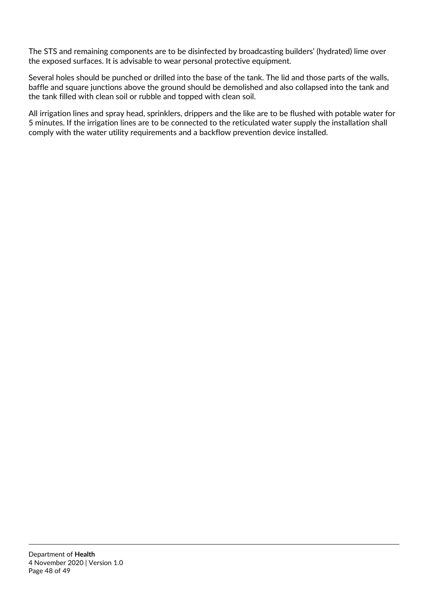The STS and remaining components are to be disinfected by broadcasting builders' (hydrated) lime over the exposed surfaces. It is advisable to wear personal protective equipment.

Several holes should be punched or drilled into the base of the tank. The lid and those parts of the walls, baffle and square junctions above the ground should be demolished and also collapsed into the tank and the tank filled with clean soil or rubble and topped with clean soil.

All irrigation lines and spray head, sprinklers, drippers and the like are to be flushed with potable water for 5 minutes. If the irrigation lines are to be connected to the reticulated water supply the installation shall comply with the water utility requirements and a backflow prevention device installed.